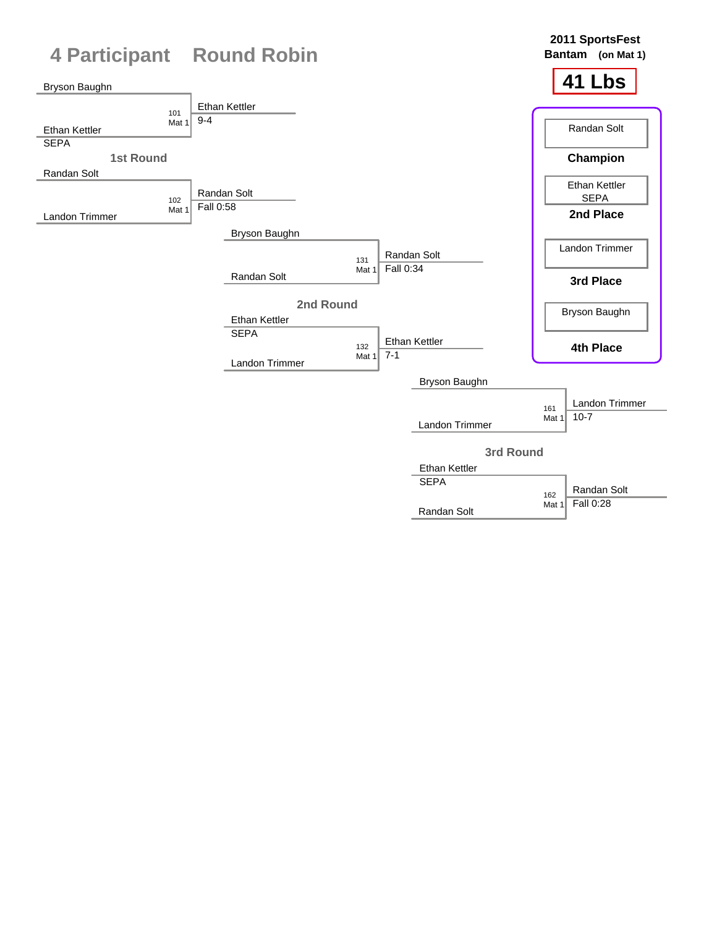

Randan Solt

Fall 0:28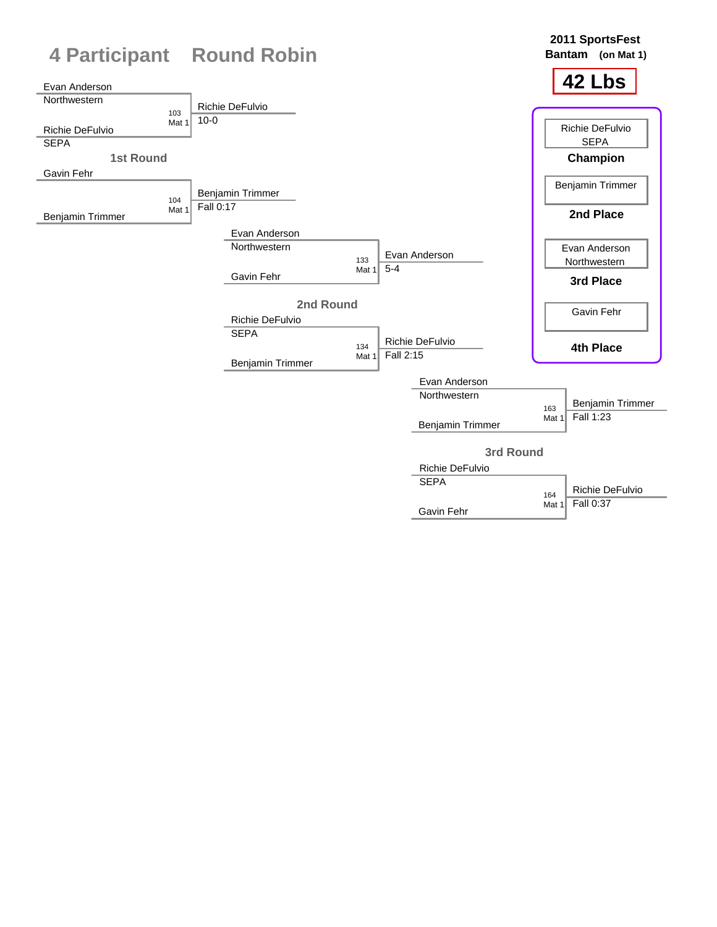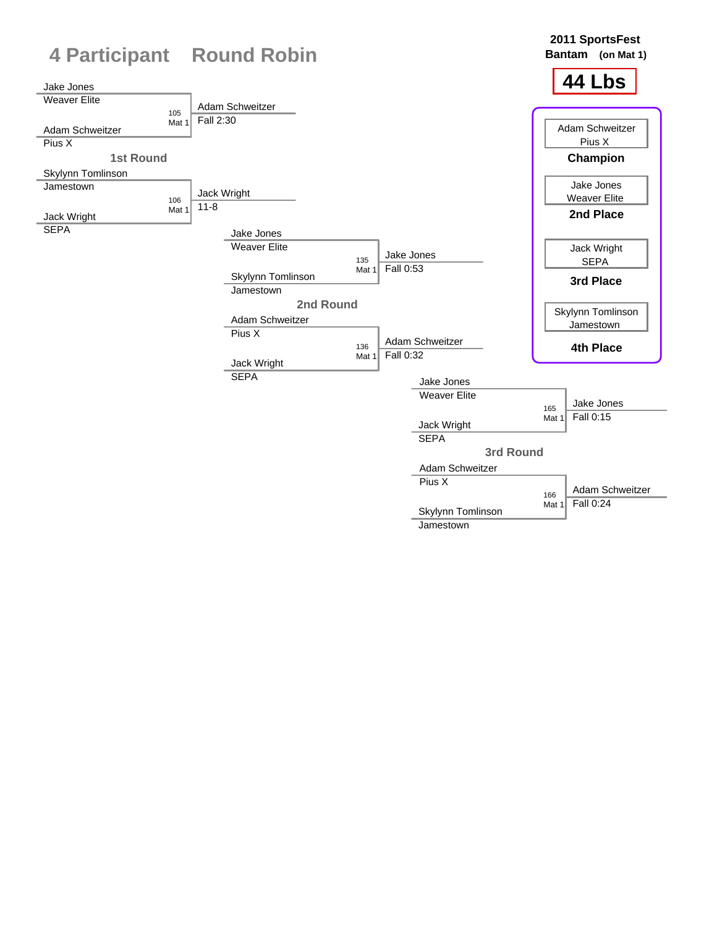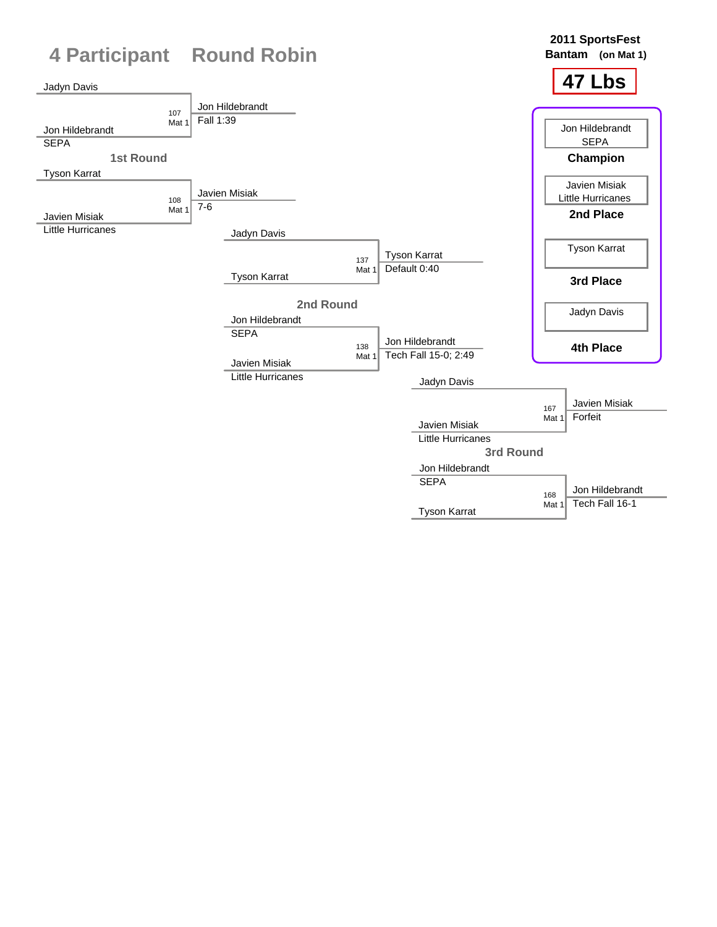

Tyson Karrat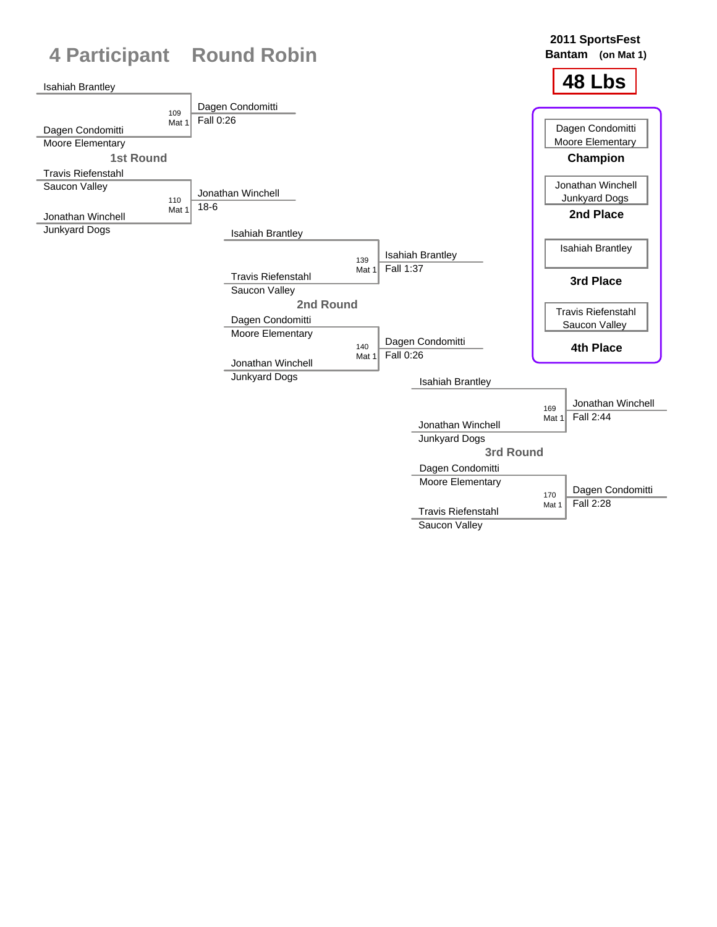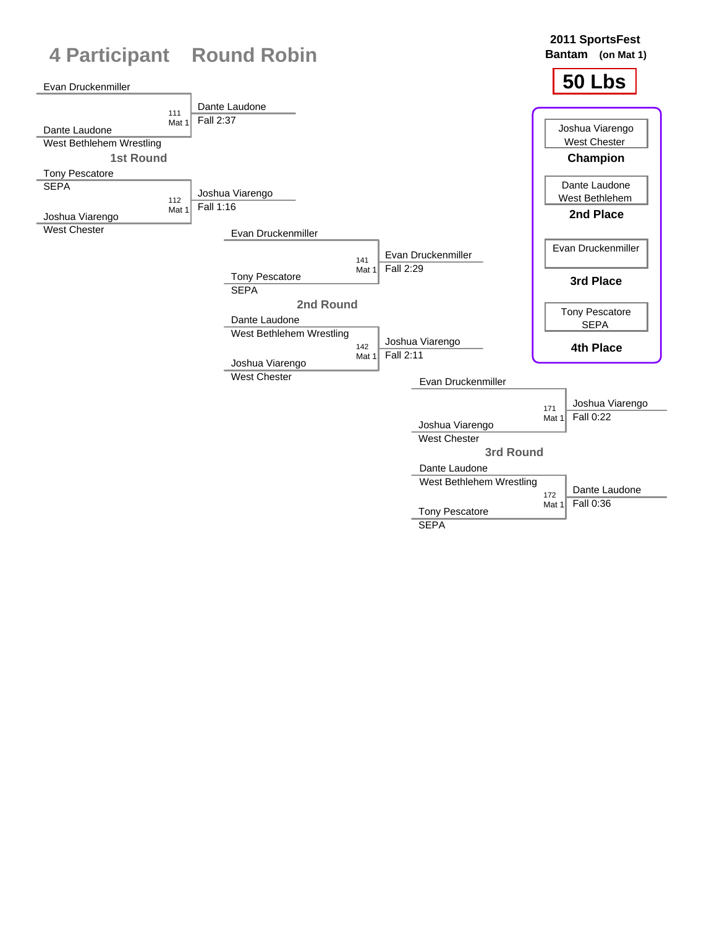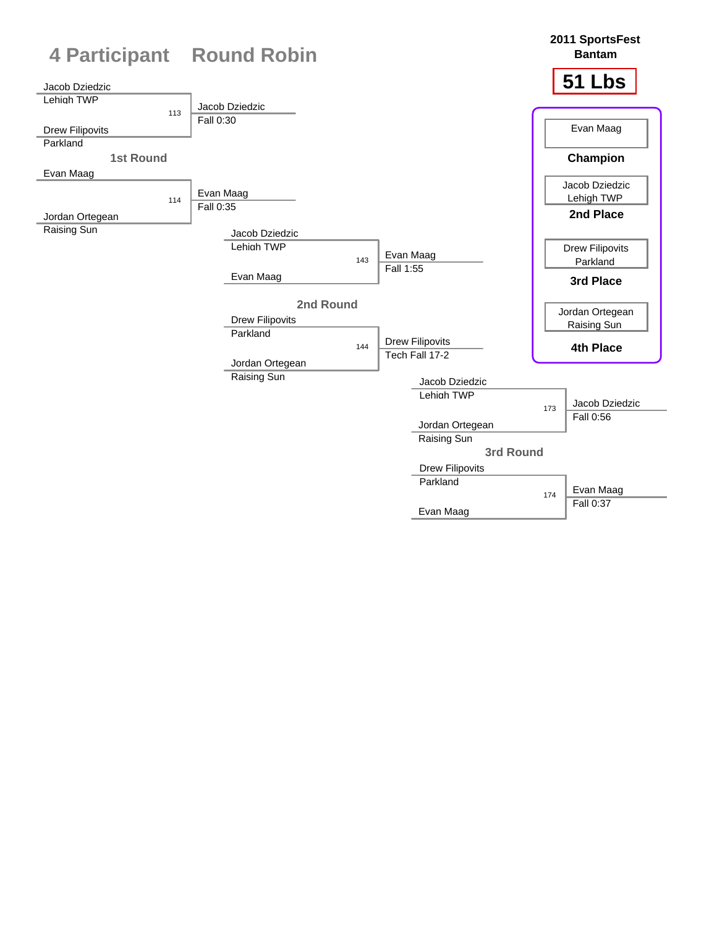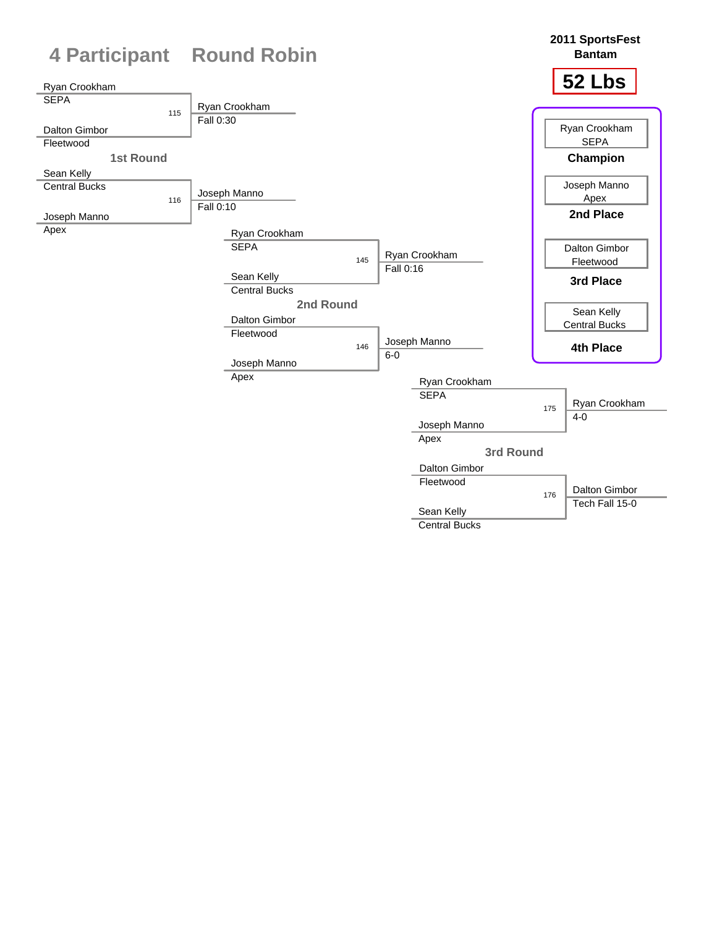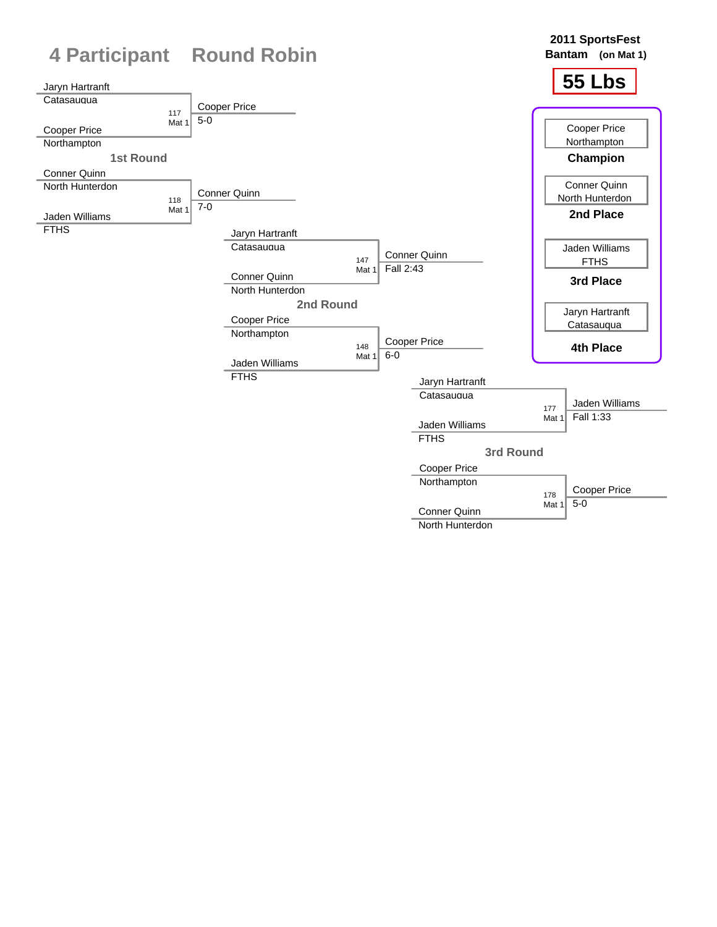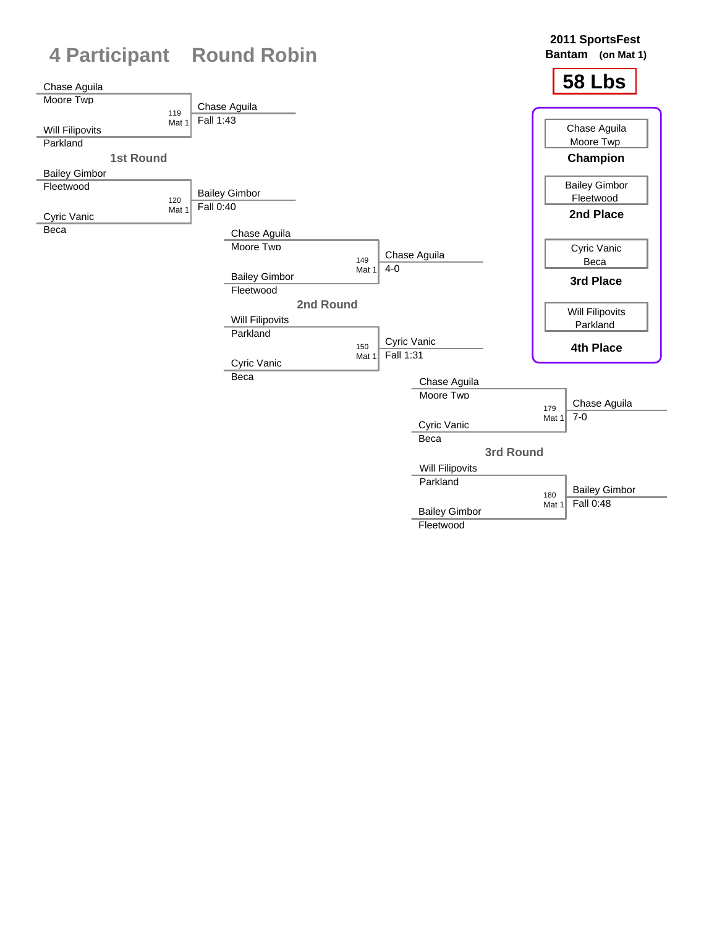

**Fleetwood**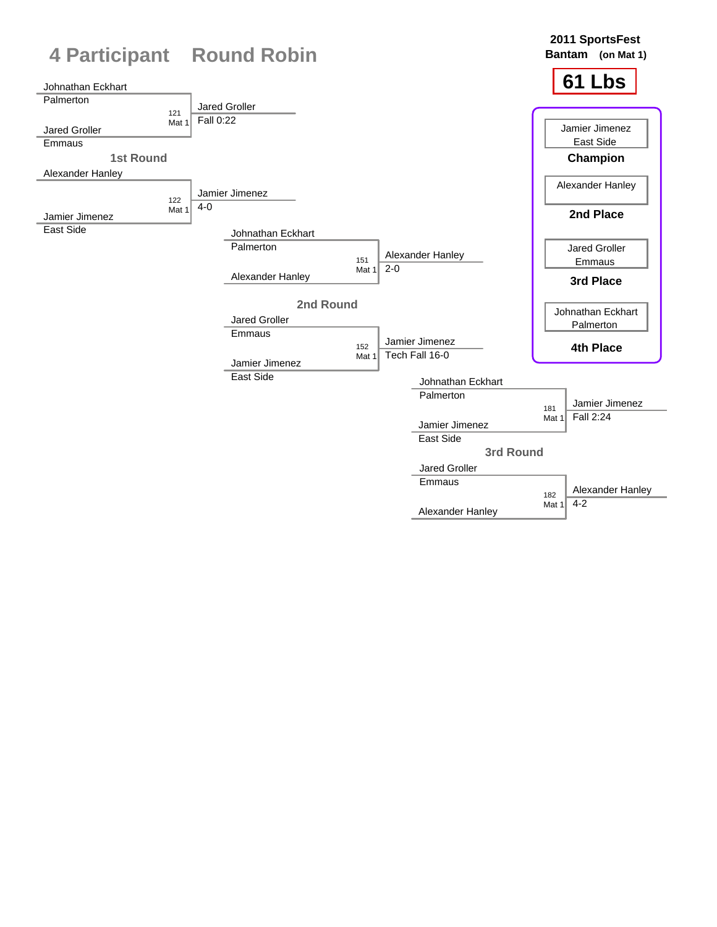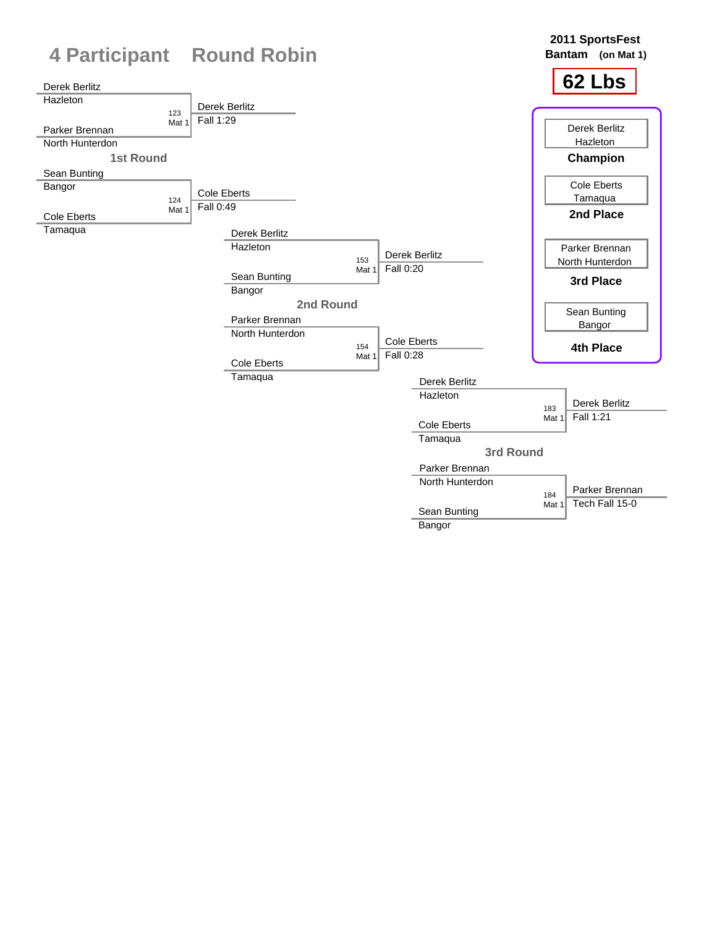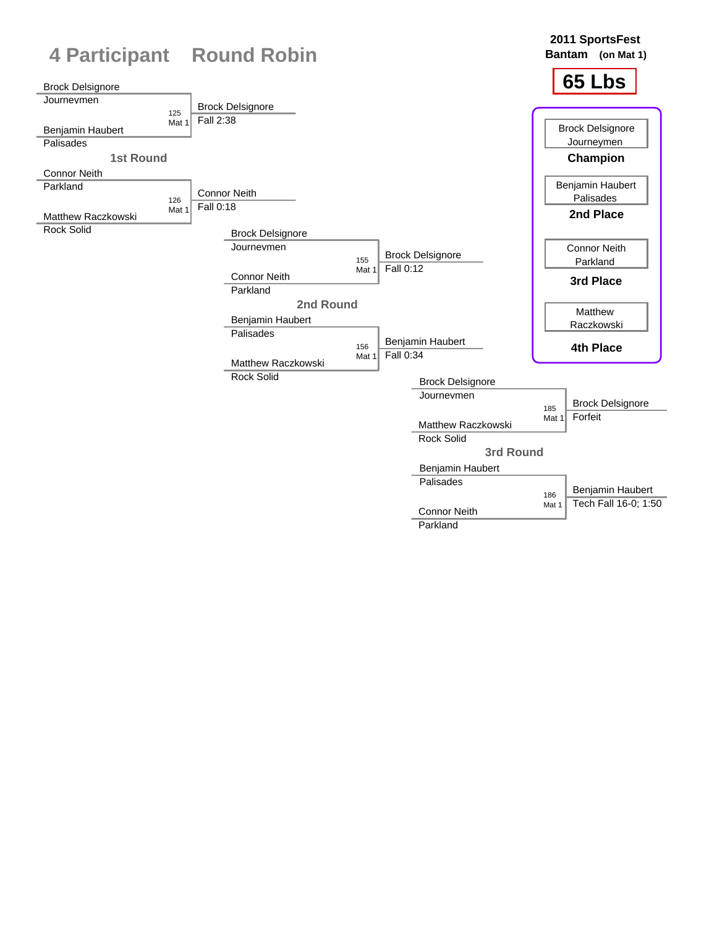![](_page_12_Figure_0.jpeg)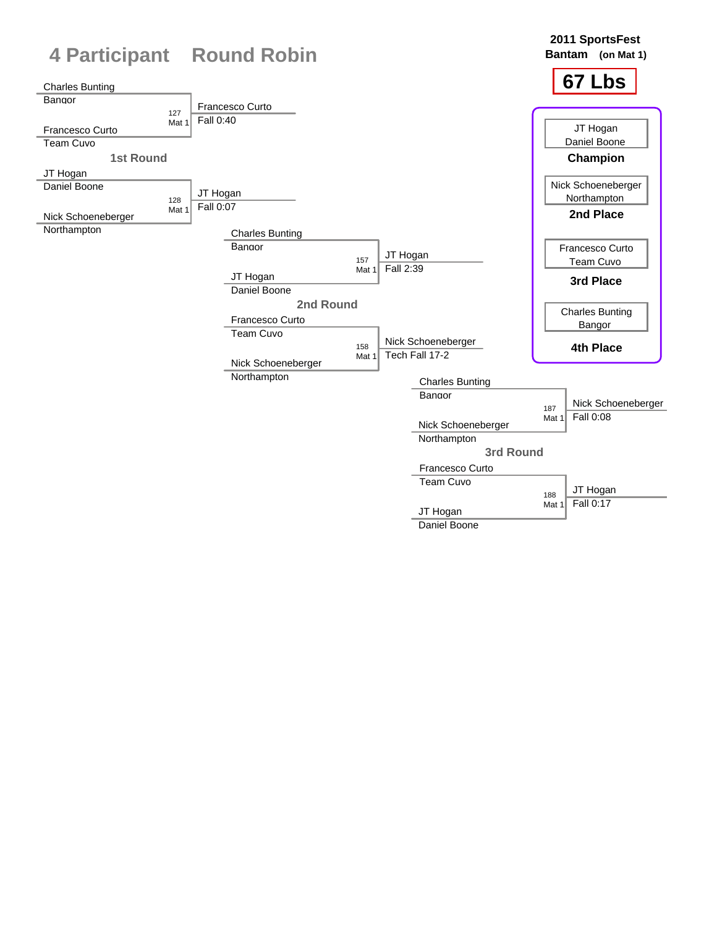![](_page_13_Figure_0.jpeg)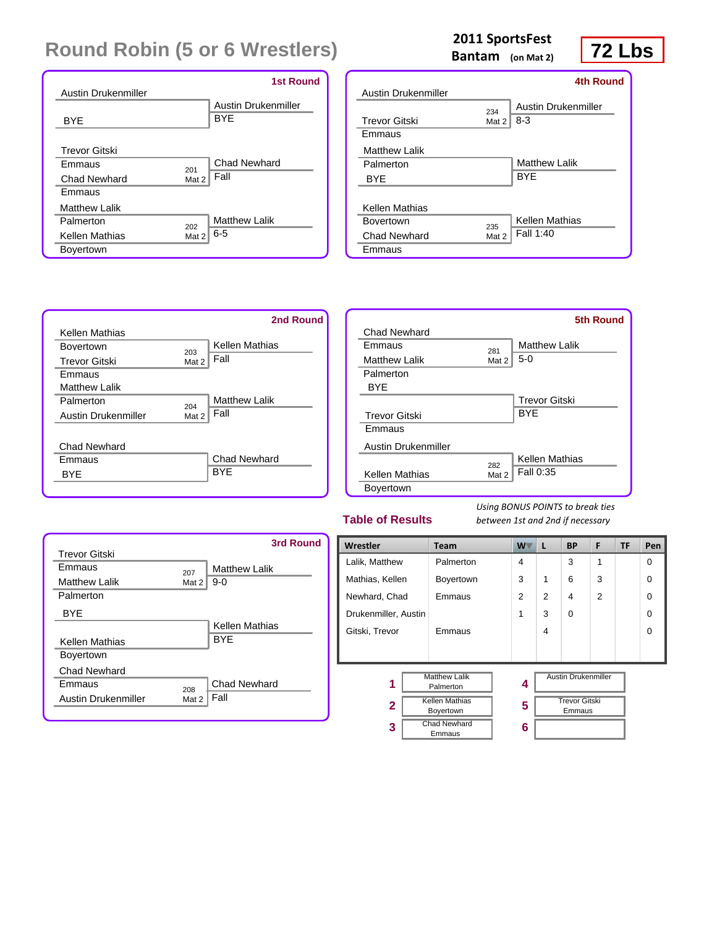| Austin Drukenmiller  | <b>1st Round</b>                         |
|----------------------|------------------------------------------|
|                      | <b>Austin Drukenmiller</b><br><b>BYF</b> |
| <b>BYF</b>           |                                          |
| <b>Trevor Gitski</b> |                                          |
| Emmaus<br>201        | <b>Chad Newhard</b>                      |
| Chad Newhard         | Fall<br>Mat 2                            |
| Emmaus               |                                          |
| Matthew Lalik        |                                          |
| Palmerton<br>202     | <b>Matthew Lalik</b>                     |
| Kellen Mathias       | $6 - 5$<br>Mat 2                         |
| <b>Boyertown</b>     |                                          |

# **2011** SportsFest<br>Bantam (on Mat 2) **72 Lbs**

**Bantam (on Mat 2)**

|                       |       | <b>4th Round</b>    |
|-----------------------|-------|---------------------|
| Austin Drukenmiller   |       |                     |
|                       | 234   | Austin Drukenmiller |
| <b>Trevor Gitski</b>  | Mat 2 | $8-3$               |
| <b>Emmaus</b>         |       |                     |
| <b>Matthew Lalik</b>  |       |                     |
| Palmerton             |       | Matthew Lalik       |
| <b>BYF</b>            |       | <b>BYF</b>          |
|                       |       |                     |
| <b>Kellen Mathias</b> |       |                     |
| <b>Bovertown</b>      | 235   | Kellen Mathias      |
| Chad Newhard          | Mat 2 | Fall 1:40           |
| Emmaus                |       |                     |

![](_page_14_Figure_6.jpeg)

|                            |       | <b>5th Round</b>     |
|----------------------------|-------|----------------------|
| Chad Newhard               |       |                      |
| Emmaus                     | 281   | Matthew Lalik        |
| <b>Matthew Lalik</b>       | Mat 2 | $5-0$                |
| Palmerton                  |       |                      |
| BYE                        |       |                      |
|                            |       | <b>Trevor Gitski</b> |
| <b>Trevor Gitski</b>       |       | <b>BYF</b>           |
| Emmaus                     |       |                      |
| <b>Austin Drukenmiller</b> |       |                      |
|                            | 282   | Kellen Mathias       |
| Kellen Mathias             | Mat 2 | Fall 0:35            |
| <b>Bovertown</b>           |       |                      |

#### **Table of Results**

|                       |       | 3rd Round             |
|-----------------------|-------|-----------------------|
| Trevor Gitski         |       |                       |
| <b>Emmaus</b>         | 207   | <b>Matthew Lalik</b>  |
| <b>Matthew Lalik</b>  | Mat 2 | $9-0$                 |
| Palmerton             |       |                       |
| <b>BYF</b>            |       |                       |
|                       |       | <b>Kellen Mathias</b> |
| <b>Kellen Mathias</b> |       | <b>BYF</b>            |
| <b>Boyertown</b>      |       |                       |
| Chad Newhard          |       |                       |
| Emmaus                | 208   | <b>Chad Newhard</b>   |
| Austin Drukenmiller   | Mat 2 | Fall                  |
|                       |       |                       |

| Wrestler             | <b>Team</b>                       | <b>W</b>       | L              | <b>BP</b>                  | F              | TF | Pen      |
|----------------------|-----------------------------------|----------------|----------------|----------------------------|----------------|----|----------|
| Lalik, Matthew       | Palmerton                         | 4              |                | 3                          | 1              |    | $\Omega$ |
| Mathias, Kellen      | <b>Boyertown</b>                  | 3              | $\mathbf{1}$   | 6                          | 3              |    | $\Omega$ |
| Newhard, Chad        | Emmaus                            | $\overline{2}$ | $\overline{2}$ | 4                          | $\overline{2}$ |    | $\Omega$ |
| Drukenmiller, Austin |                                   | 1              | 3              | $\Omega$                   |                |    | $\Omega$ |
| Gitski, Trevor       | Emmaus                            |                | 4              |                            |                |    | $\Omega$ |
|                      |                                   |                |                |                            |                |    |          |
|                      |                                   |                |                |                            |                |    |          |
| 1                    | <b>Matthew Lalik</b><br>Palmerton | 4              |                | <b>Austin Drukenmiller</b> |                |    |          |
| $\mathbf{2}$         | <b>Kellen Mathias</b>             |                |                | <b>Trevor Gitski</b>       |                |    |          |
|                      | Boyertown                         | 5              |                | Emmaus                     |                |    |          |
| 3                    | Chad Newhard<br>Emmaus            | 6              |                |                            |                |    |          |
|                      |                                   |                |                |                            |                |    |          |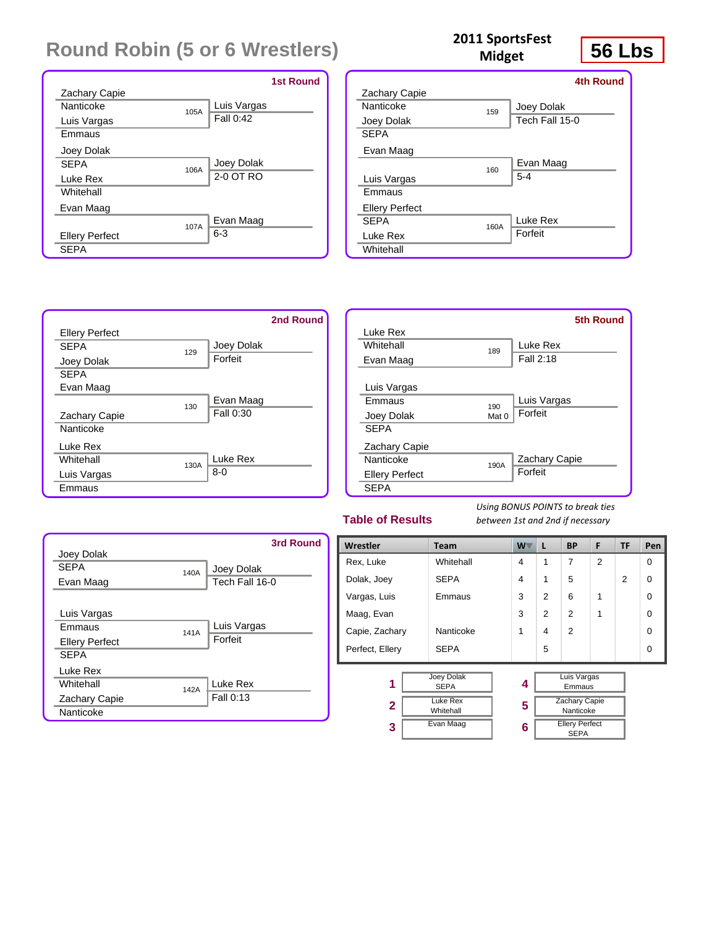|                       | <b>1st Round</b> |
|-----------------------|------------------|
| <b>Zachary Capie</b>  |                  |
| Nanticoke<br>105A     | Luis Vargas      |
| Luis Vargas           | Fall $0:42$      |
| Emmaus                |                  |
| Joey Dolak            |                  |
| <b>SFPA</b><br>106A   | Joey Dolak       |
| Luke Rex              | 2-0 OT RO        |
| Whitehall             |                  |
| Evan Maag             |                  |
| 107A                  | Evan Maag        |
| <b>Ellery Perfect</b> | $6 - 3$          |
| <b>SEPA</b>           |                  |

|                       |      | 4th Round      |
|-----------------------|------|----------------|
| Zachary Capie         |      |                |
| Nanticoke             | 159  | Joey Dolak     |
| Joey Dolak            |      | Tech Fall 15-0 |
| <b>SEPA</b>           |      |                |
| Evan Maag             |      |                |
|                       | 160  | Evan Maag      |
| Luis Vargas           |      | $5 - 4$        |
| <b>Fmmaus</b>         |      |                |
| <b>Ellery Perfect</b> |      |                |
| <b>SFPA</b>           | 160A | Luke Rex       |
| Luke Rex              |      | Forfeit        |

**Midget**

![](_page_15_Figure_3.jpeg)

|                       |       | <b>5th Round</b> |
|-----------------------|-------|------------------|
| Luke Rex              |       |                  |
| Whitehall             | 189   | Luke Rex         |
| Evan Maag             |       | Fall 2:18        |
|                       |       |                  |
| Luis Vargas           |       |                  |
| Emmaus                | 190   | Luis Vargas      |
| Joey Dolak            | Mat 0 | Forfeit          |
| <b>SEPA</b>           |       |                  |
| <b>Zachary Capie</b>  |       |                  |
| Nanticoke             | 190A  | Zachary Capie    |
| <b>Ellery Perfect</b> |       | Forfeit          |
| <b>SEPA</b>           |       |                  |

#### **Table of Results**

**Whitehall** 

*Using BONUS POINTS to break ties between 1st and 2nd if necessary*

|                       |      | 3rd Round      |
|-----------------------|------|----------------|
| Joey Dolak            |      |                |
| <b>SFPA</b>           | 140A | Joey Dolak     |
| Evan Maag             |      | Tech Fall 16-0 |
|                       |      |                |
| Luis Vargas           |      |                |
| Emmaus                | 141A | Luis Vargas    |
| <b>Ellery Perfect</b> |      | Forfeit        |
| <b>SEPA</b>           |      |                |
| Luke Rex              |      |                |
| Whitehall             | 142A | Luke Rex       |
| <b>Zachary Capie</b>  |      | Fall 0:13      |
| Nanticoke             |      |                |

| Wrestler        | <b>Team</b>                      | <b>W</b> | L             | <b>BP</b>                            | F              | <b>TF</b>      | Pen      |
|-----------------|----------------------------------|----------|---------------|--------------------------------------|----------------|----------------|----------|
| Rex, Luke       | Whitehall                        | 4        | 1             | 7                                    | $\overline{2}$ |                | $\Omega$ |
| Dolak, Joey     | <b>SEPA</b>                      | 4        | 1             | 5                                    |                | $\overline{2}$ | $\Omega$ |
| Vargas, Luis    | Emmaus                           | 3        | $\mathcal{P}$ | 6                                    | 1              |                | $\Omega$ |
| Maag, Evan      |                                  | 3        | $\mathcal{P}$ | 2                                    | 1              |                | $\Omega$ |
| Capie, Zachary  | Nanticoke                        | 1        | 4             | $\mathfrak{p}$                       |                |                | $\Omega$ |
| Perfect, Ellery | <b>SEPA</b>                      |          | 5             |                                      |                |                | $\Omega$ |
| 1               | <b>Joey Dolak</b><br><b>SEPA</b> | 4        |               | Luis Vargas<br>Emmaus                |                |                |          |
| $\mathbf{2}$    | Luke Rex<br>Whitehall            | 5        |               | <b>Zachary Capie</b><br>Nanticoke    |                |                |          |
| 3               | Evan Maag                        | 6        |               | <b>Ellery Perfect</b><br><b>SEPA</b> |                |                |          |

# **56 Lbs <sup>2011</sup> SportsFest**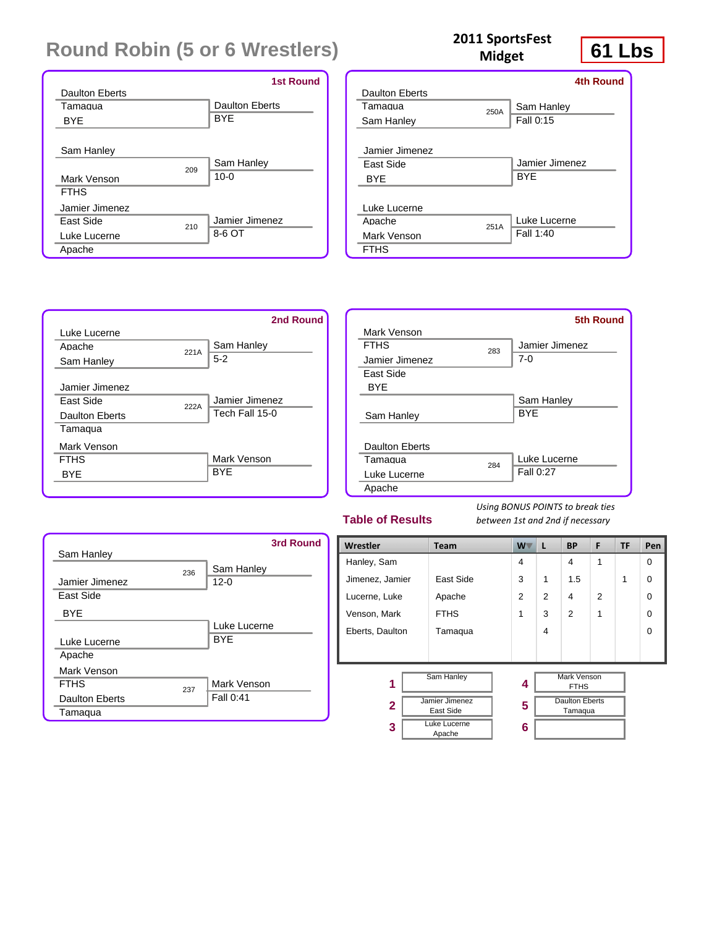|                         | <b>1st Round</b>      |
|-------------------------|-----------------------|
| <b>Daulton Eberts</b>   |                       |
| Tamagua                 | <b>Daulton Eberts</b> |
| <b>BYE</b>              | <b>BYE</b>            |
|                         |                       |
| Sam Hanley              |                       |
| 209                     | Sam Hanley            |
| Mark Venson             | $10 - 0$              |
| <b>FTHS</b>             |                       |
| Jamier Jimenez          |                       |
| <b>Fast Side</b><br>210 | Jamier Jimenez        |
| Luke Lucerne            | 8-6 OT                |
| Apache                  |                       |

#### 2011 SportsFest<br>Midget **61 Lbs Midget**

|                |      | <b>4th Round</b> |
|----------------|------|------------------|
| Daulton Eberts |      |                  |
| Tamagua        | 250A | Sam Hanley       |
| Sam Hanley     |      | Fall 0:15        |
|                |      |                  |
| Jamier Jimenez |      |                  |
| Fast Side      |      | Jamier Jimenez   |
| <b>BYF</b>     |      | <b>BYE</b>       |
|                |      |                  |
| Luke Lucerne   |      |                  |
| Apache         | 251A | Luke Lucerne     |
| Mark Venson    |      | Fall 1:40        |
| <b>FTHS</b>    |      |                  |
|                |      |                  |

![](_page_16_Figure_5.jpeg)

|                       |     | <b>5th Round</b> |
|-----------------------|-----|------------------|
| Mark Venson           |     |                  |
| <b>FTHS</b>           | 283 | Jamier Jimenez   |
| Jamier Jimenez        |     | $7-0$            |
| East Side             |     |                  |
| <b>BYE</b>            |     |                  |
|                       |     | Sam Hanley       |
| Sam Hanley            |     | <b>BYF</b>       |
|                       |     |                  |
| <b>Daulton Eberts</b> |     |                  |
| Tamagua               | 284 | Luke Lucerne     |
| Luke Lucerne          |     | Fall 0:27        |
| Apache                |     |                  |
|                       |     |                  |

#### **Table of Results**

| Sam Hanley            |     | <b>3rd Round</b>       |
|-----------------------|-----|------------------------|
| Jamier Jimenez        | 236 | Sam Hanley<br>$12 - 0$ |
| East Side             |     |                        |
| <b>BYE</b>            |     |                        |
|                       |     | Luke Lucerne           |
| Luke Lucerne          |     | <b>BYE</b>             |
| Apache                |     |                        |
| Mark Venson           |     |                        |
| <b>FTHS</b>           | 237 | Mark Venson            |
| <b>Daulton Eberts</b> |     | Fall 0:41              |
| Tamaqua               |     |                        |

| Wrestler        | <b>Team</b>                 | <b>W</b>      | L              | <b>BP</b>                         | F              | TF | Pen      |
|-----------------|-----------------------------|---------------|----------------|-----------------------------------|----------------|----|----------|
| Hanley, Sam     |                             | 4             |                | 4                                 | 1              |    | $\Omega$ |
| Jimenez, Jamier | East Side                   | 3             | 1              | 1.5                               |                | 1  | $\Omega$ |
| Lucerne, Luke   | Apache                      | $\mathcal{P}$ | $\overline{2}$ | 4                                 | $\mathfrak{p}$ |    | $\Omega$ |
| Venson, Mark    | <b>FTHS</b>                 | 1             | 3              | 2                                 | 1              |    | $\Omega$ |
| Eberts, Daulton | Tamaqua                     |               | 4              |                                   |                |    | $\Omega$ |
|                 |                             |               |                |                                   |                |    |          |
| 1               | Sam Hanley                  | 4             |                | <b>Mark Venson</b><br><b>FTHS</b> |                |    |          |
| $\mathbf{2}$    | Jamier Jimenez<br>East Side | 5             |                | <b>Daulton Eberts</b><br>Tamaqua  |                |    |          |
| 3               | Luke Lucerne<br>Apache      | 6             |                |                                   |                |    |          |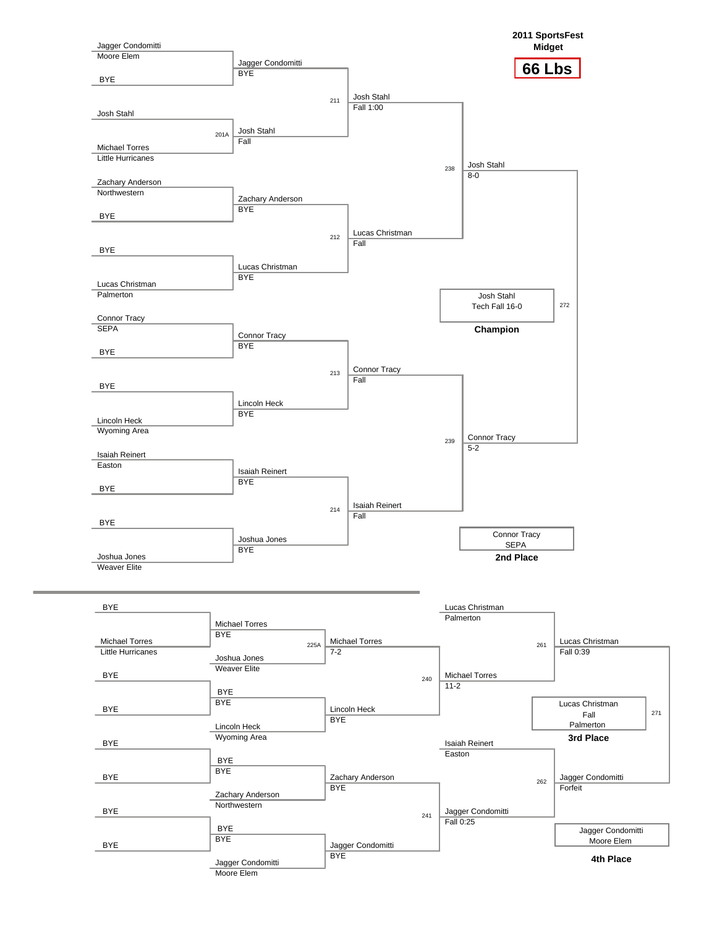![](_page_17_Figure_0.jpeg)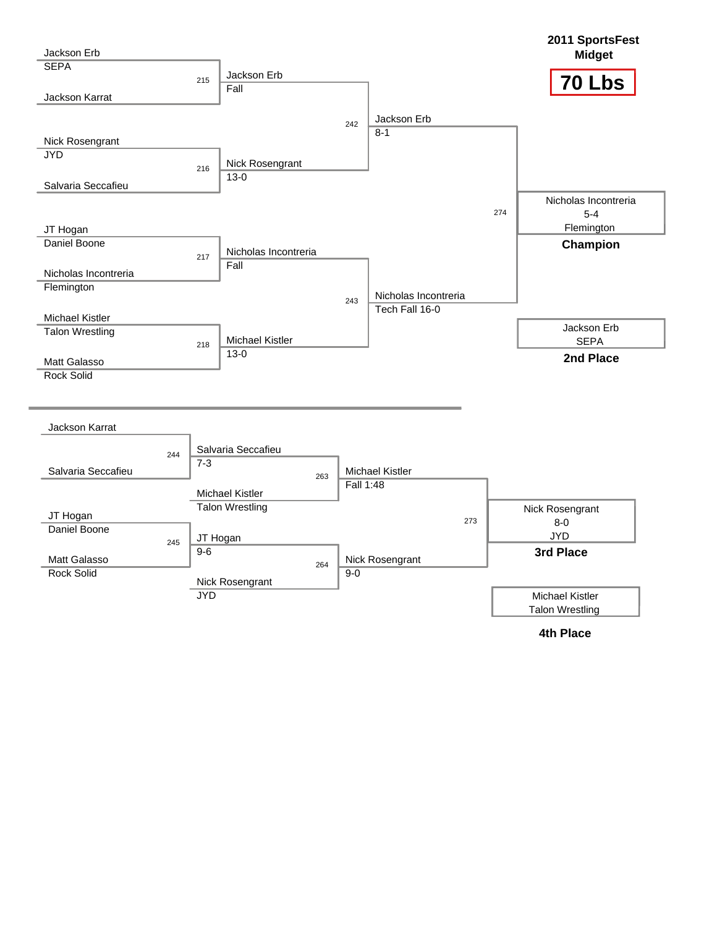![](_page_18_Figure_0.jpeg)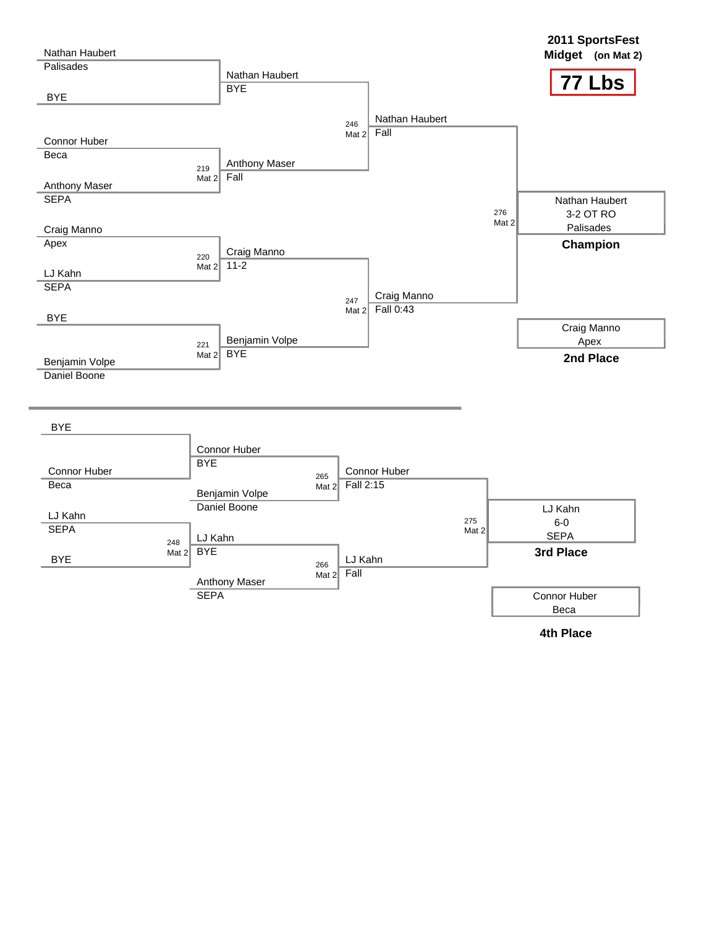![](_page_19_Figure_0.jpeg)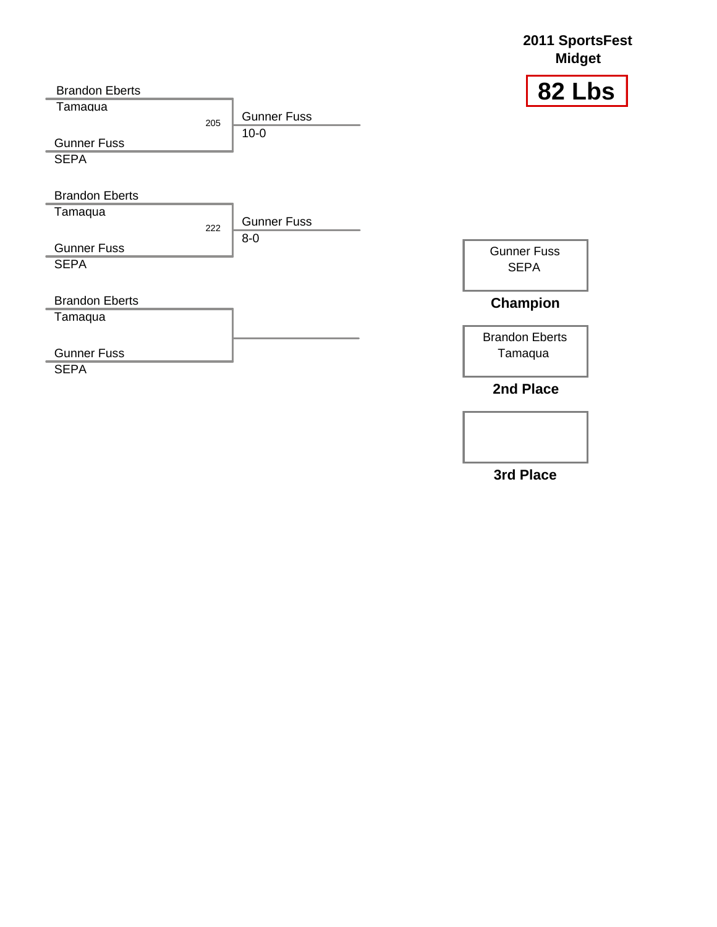![](_page_20_Figure_0.jpeg)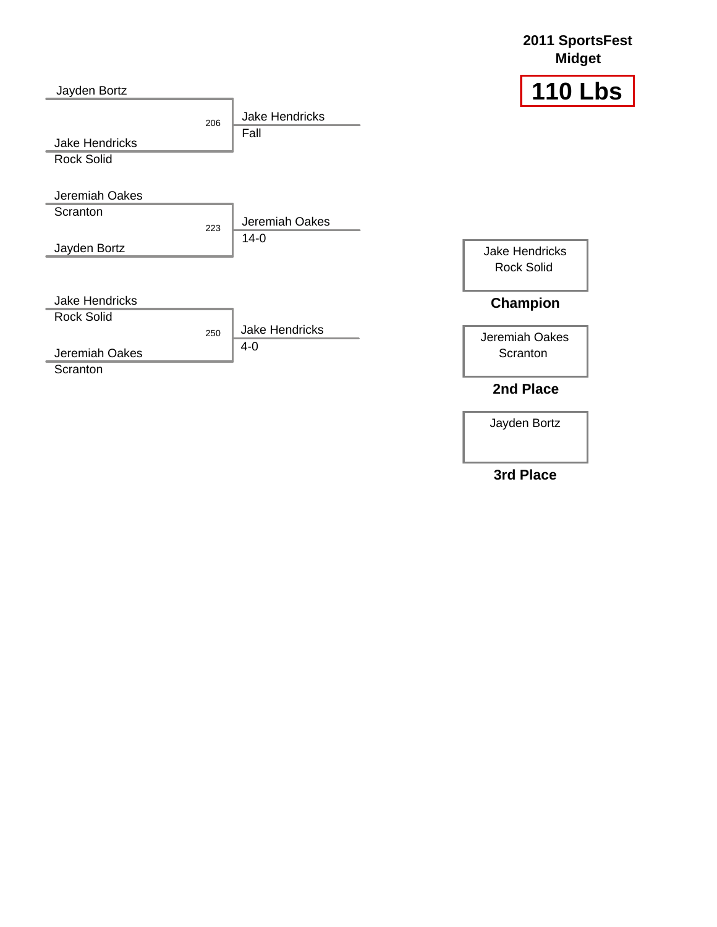![](_page_21_Figure_0.jpeg)

Jayden Bortz

**2011 SportsFest**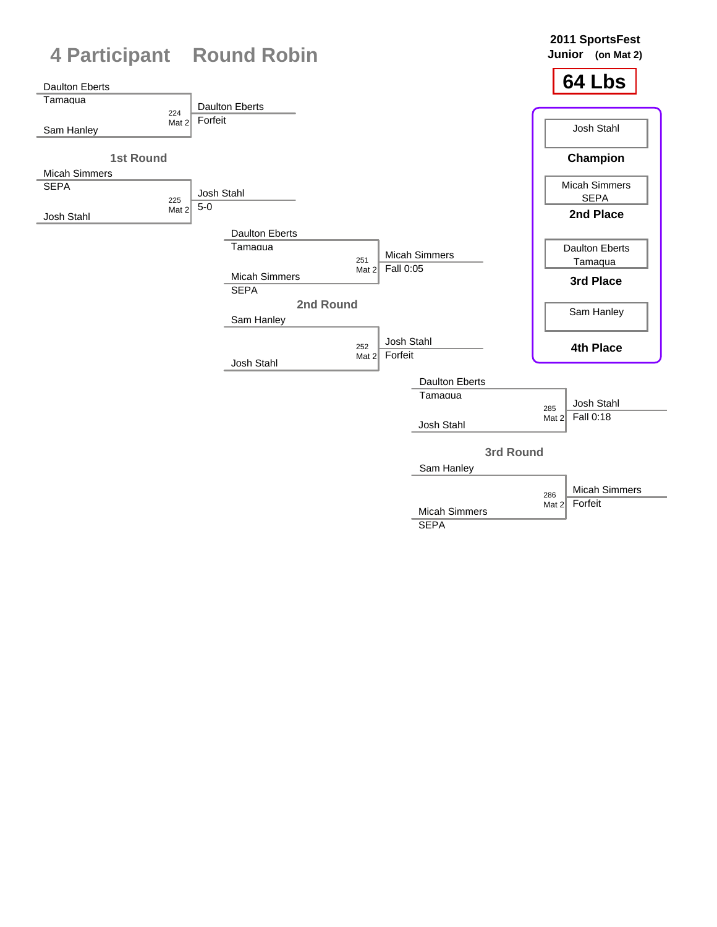![](_page_22_Figure_0.jpeg)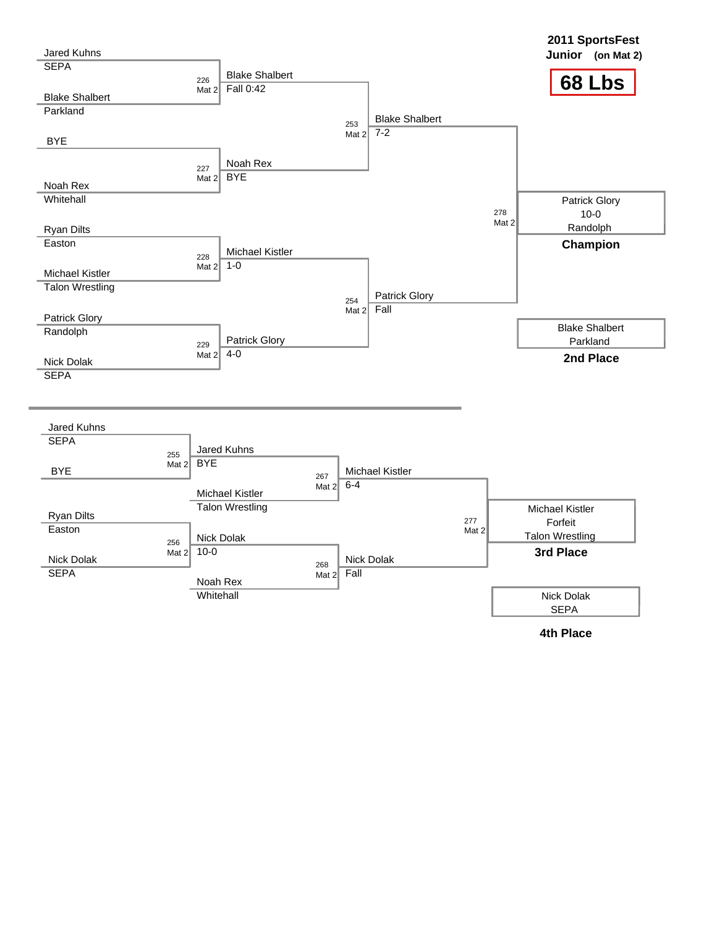![](_page_23_Figure_0.jpeg)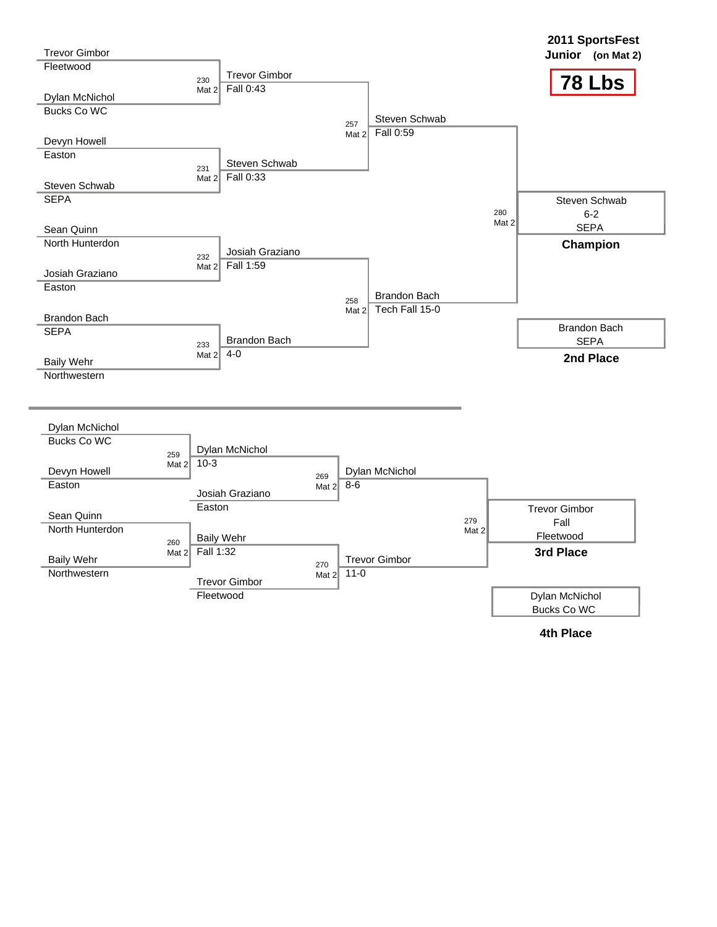| <b>Trevor Gimbor</b> |                |                            |                         |          |                      |                 | 2011 SportsFest<br>Junior (on Mat 2) |
|----------------------|----------------|----------------------------|-------------------------|----------|----------------------|-----------------|--------------------------------------|
| Fleetwood            |                | <b>Trevor Gimbor</b>       |                         |          |                      |                 |                                      |
|                      |                | 230<br>Fall 0:43           |                         |          |                      |                 | 78 Lbs                               |
| Dylan McNichol       |                | Mat $22$                   |                         |          |                      |                 |                                      |
| <b>Bucks Co WC</b>   |                |                            |                         |          |                      |                 |                                      |
|                      |                |                            |                         | 257      | Steven Schwab        |                 |                                      |
| Devyn Howell         |                |                            |                         | Mat $22$ | Fall 0:59            |                 |                                      |
| Easton               |                |                            |                         |          |                      |                 |                                      |
|                      |                | Steven Schwab<br>231       |                         |          |                      |                 |                                      |
|                      |                | Fall 0:33<br>Mat $22$      |                         |          |                      |                 |                                      |
| Steven Schwab        |                |                            |                         |          |                      |                 |                                      |
| <b>SEPA</b>          |                |                            |                         |          |                      |                 | Steven Schwab                        |
|                      |                |                            |                         |          |                      | 280<br>Mat $21$ | $6-2$                                |
| Sean Quinn           |                |                            |                         |          |                      |                 | <b>SEPA</b>                          |
| North Hunterdon      |                |                            |                         |          |                      |                 | Champion                             |
|                      |                | Josiah Graziano<br>232     |                         |          |                      |                 |                                      |
| Josiah Graziano      |                | Fall 1:59<br>Mat $22$      |                         |          |                      |                 |                                      |
| Easton               |                |                            |                         |          |                      |                 |                                      |
|                      |                |                            |                         | 258      | <b>Brandon Bach</b>  |                 |                                      |
|                      |                |                            |                         | Mat $22$ | Tech Fall 15-0       |                 |                                      |
| <b>Brandon Bach</b>  |                |                            |                         |          |                      |                 | <b>Brandon Bach</b>                  |
| <b>SEPA</b>          |                | <b>Brandon Bach</b><br>233 |                         |          |                      |                 | <b>SEPA</b>                          |
|                      |                | $4 - 0$<br>Mat $22$        |                         |          |                      |                 | 2nd Place                            |
| <b>Baily Wehr</b>    |                |                            |                         |          |                      |                 |                                      |
| Northwestern         |                |                            |                         |          |                      |                 |                                      |
|                      |                |                            |                         |          |                      |                 |                                      |
| Dylan McNichol       |                |                            |                         |          |                      |                 |                                      |
| <b>Bucks Co WC</b>   |                |                            |                         |          |                      |                 |                                      |
|                      | 259            | Dylan McNichol             |                         |          |                      |                 |                                      |
| Devyn Howell         | Mat $2$        | $10-3$                     |                         |          | Dylan McNichol       |                 |                                      |
| Easton               |                |                            | 269<br>Mat $2 \mid 8-6$ |          |                      |                 |                                      |
|                      |                | Josiah Graziano            |                         |          |                      |                 |                                      |
|                      |                | Easton                     |                         |          |                      |                 | <b>Trevor Gimbor</b>                 |
| Sean Quinn           |                |                            |                         |          |                      | 279             | Fall                                 |
| North Hunterdon      |                | <b>Baily Wehr</b>          |                         |          |                      | Mat $2$         | Fleetwood                            |
|                      | 260<br>Mat $2$ | Fall 1:32                  |                         |          |                      |                 | 3rd Place                            |
| <b>Baily Wehr</b>    |                |                            | 270                     |          | <b>Trevor Gimbor</b> |                 |                                      |
| Northwestern         |                |                            | Mat $2$                 | $11 - 0$ |                      |                 |                                      |
|                      |                | <b>Trevor Gimbor</b>       |                         |          |                      |                 |                                      |
|                      |                | Fleetwood                  |                         |          |                      |                 | Dylan McNichol                       |
|                      |                |                            |                         |          |                      |                 | Bucks Co WC                          |
|                      |                |                            |                         |          |                      |                 | <b>4th Place</b>                     |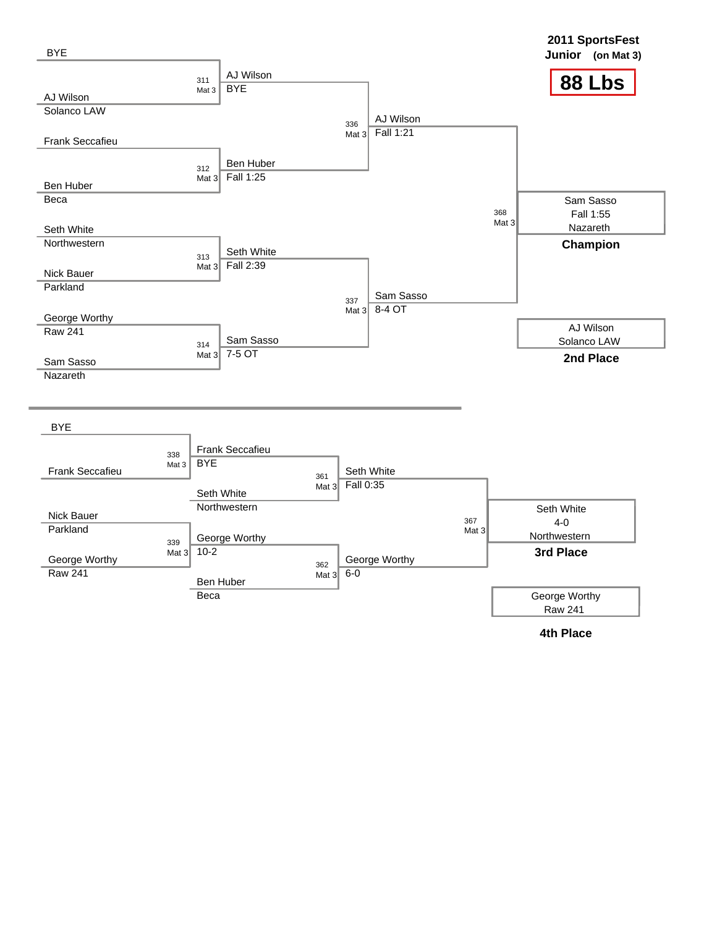![](_page_25_Figure_0.jpeg)

![](_page_25_Figure_1.jpeg)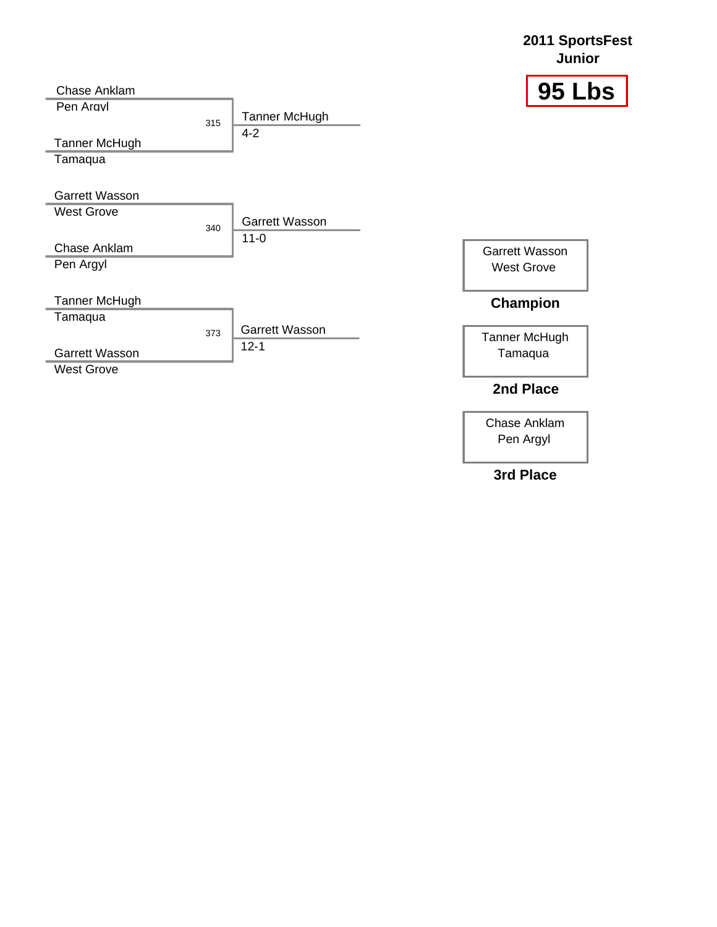![](_page_26_Figure_0.jpeg)

Chase Anklam Pen Argyl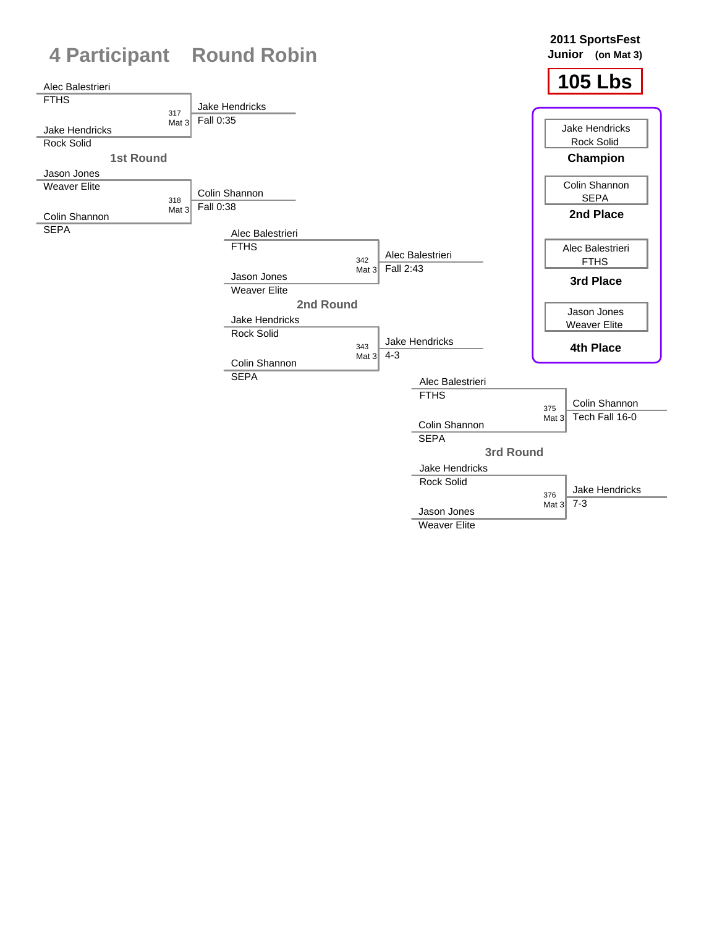![](_page_27_Figure_0.jpeg)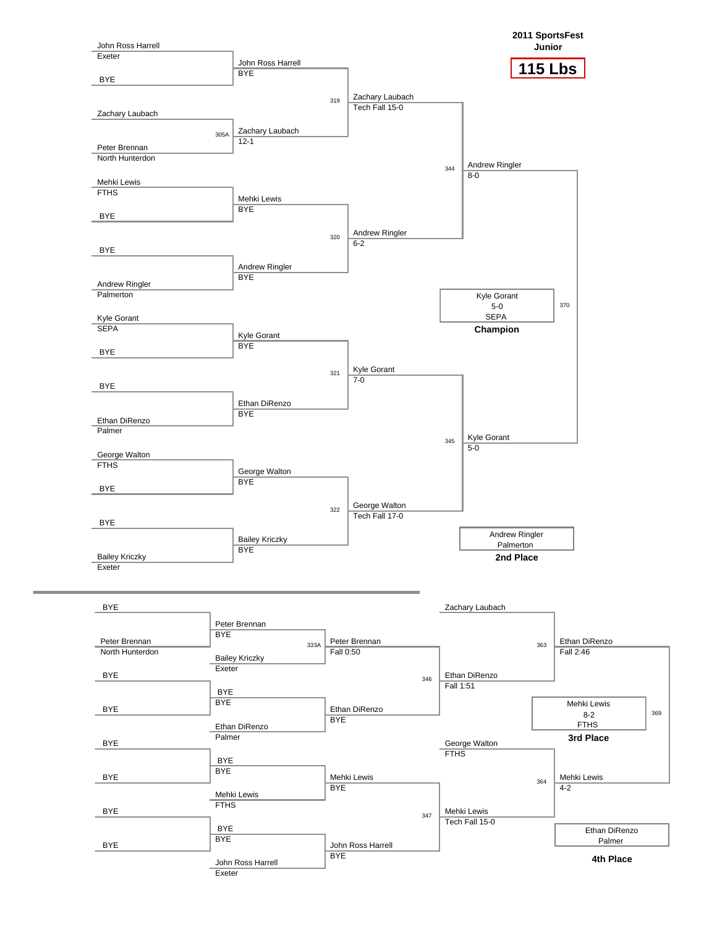![](_page_28_Figure_0.jpeg)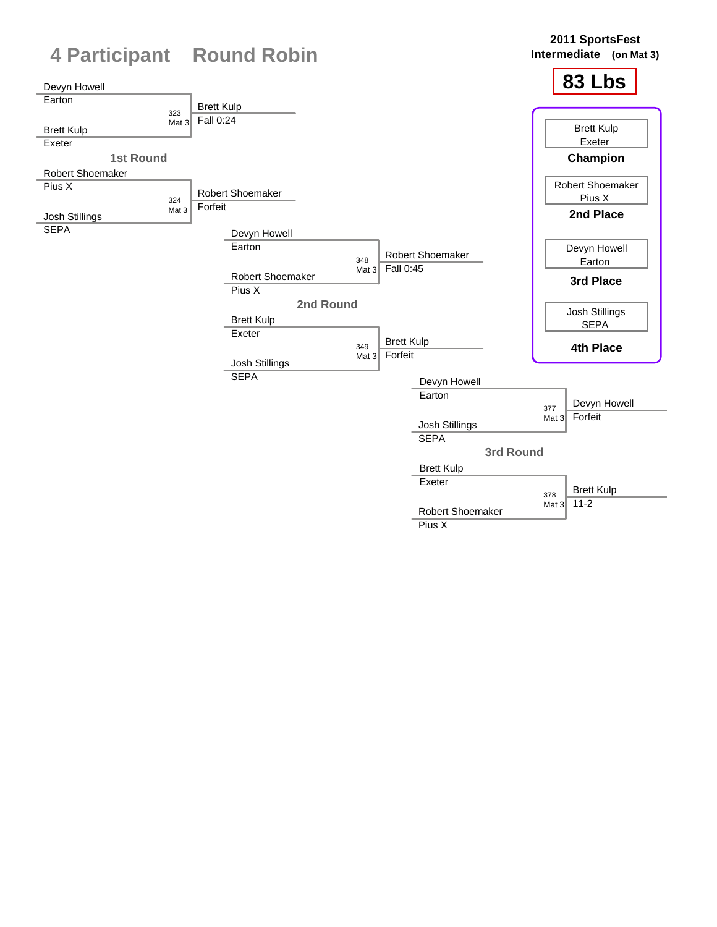![](_page_29_Figure_0.jpeg)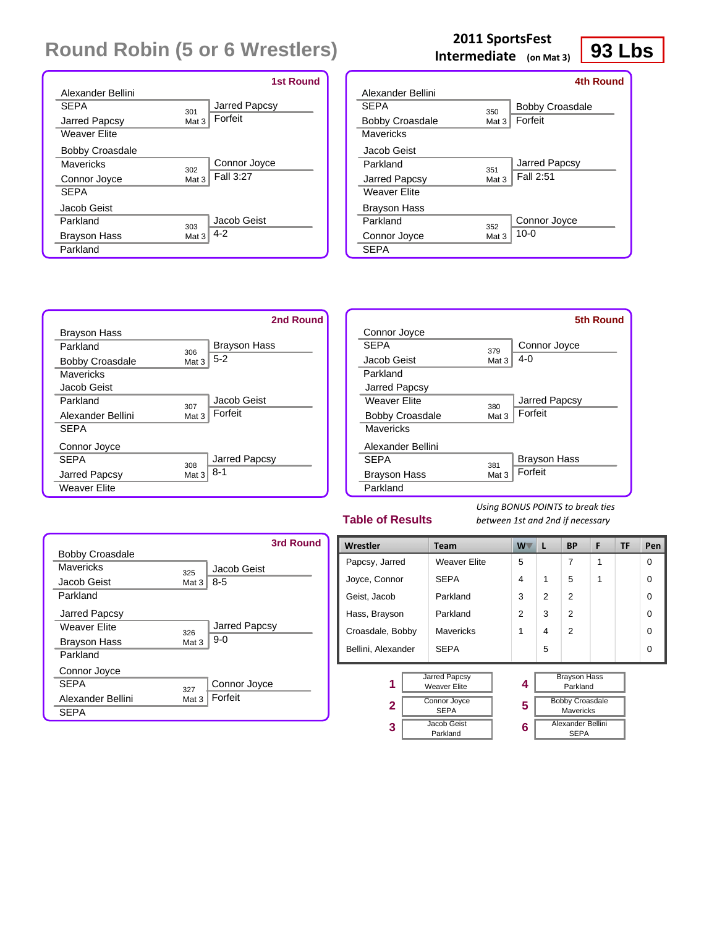|                        |                  | <b>1st Round</b> |
|------------------------|------------------|------------------|
| Alexander Bellini      |                  |                  |
| <b>SFPA</b>            | 301              | Jarred Papcsy    |
| Jarred Papcsy          | Mat <sub>3</sub> | Forfeit          |
| <b>Weaver Elite</b>    |                  |                  |
| <b>Bobby Croasdale</b> |                  |                  |
| Mavericks              | 302              | Connor Joyce     |
| Connor Joyce           | Mat <sub>3</sub> | Fall 3:27        |
| <b>SEPA</b>            |                  |                  |
| Jacob Geist            |                  |                  |
| Parkland               | 303              | Jacob Geist      |
| <b>Brayson Hass</b>    | Mat 3            | $4 - 2$          |
| Parkland               |                  |                  |

# **12011 SportsFest**<br> **Intermediate** (on Mat 3) **93 Lbs**

|                        |                  | 4th Round              |
|------------------------|------------------|------------------------|
| Alexander Bellini      |                  |                        |
| <b>SFPA</b>            | 350              | <b>Bobby Croasdale</b> |
| <b>Bobby Croasdale</b> | Mat 3            | Forfeit                |
| Mavericks              |                  |                        |
| Jacob Geist            |                  |                        |
| Parkland               | 351              | Jarred Papcsy          |
| Jarred Papcsy          | Mat 3            | Fall 2:51              |
| <b>Weaver Elite</b>    |                  |                        |
| <b>Brayson Hass</b>    |                  |                        |
| Parkland               | 352              | Connor Joyce           |
| Connor Joyce           | Mat <sub>3</sub> | $10 - 0$               |
| <b>SEPA</b>            |                  |                        |
|                        |                  |                        |

![](_page_30_Figure_5.jpeg)

| Connor Joyce<br><b>SFPA</b><br>Connor Joyce<br>379<br>$4 - 0$<br>Jacob Geist<br>Mat 3<br>Parkland |               | <b>5th Round</b> |
|---------------------------------------------------------------------------------------------------|---------------|------------------|
|                                                                                                   |               |                  |
|                                                                                                   |               |                  |
|                                                                                                   |               |                  |
|                                                                                                   |               |                  |
|                                                                                                   | Jarred Papcsy |                  |
| Jarred Papcsy<br>Weaver Flite<br>380                                                              |               |                  |
| Forfeit<br><b>Bobby Croasdale</b><br>Mat 3                                                        |               |                  |
| Mavericks                                                                                         |               |                  |
| Alexander Bellini                                                                                 |               |                  |
| <b>Brayson Hass</b><br><b>SFPA</b><br>381                                                         |               |                  |
| Forfeit<br><b>Brayson Hass</b><br>Mat 3                                                           |               |                  |
| Parkland                                                                                          |               |                  |

#### **Table of Results**

*Using BONUS POINTS to break ties between 1st and 2nd if necessary*

|                        | 3rd Round            |
|------------------------|----------------------|
| <b>Bobby Croasdale</b> |                      |
| Mavericks              | Jacob Geist<br>325   |
| Jacob Geist            | $8 - 5$<br>Mat $3$   |
| Parkland               |                      |
| Jarred Papcsy          |                      |
| Weaver Flite           | Jarred Papcsy<br>326 |
| <b>Brayson Hass</b>    | $9-0$<br>Mat 3       |
| Parkland               |                      |
| Connor Joyce           |                      |
| <b>SFPA</b>            | Connor Joyce<br>327  |
| Alexander Bellini      | Forfeit<br>Mat 3     |
| SFPA                   |                      |

| Wrestler           |                             | Team                                 | W | L                                          | <b>BP</b>                        | F | TF | Pen      |
|--------------------|-----------------------------|--------------------------------------|---|--------------------------------------------|----------------------------------|---|----|----------|
| Papcsy, Jarred     |                             | <b>Weaver Elite</b>                  | 5 |                                            | 7                                | 1 |    | $\Omega$ |
| Joyce, Connor      |                             | <b>SEPA</b>                          | 4 | 1                                          | 5                                | 1 |    | $\Omega$ |
| Geist, Jacob       |                             | Parkland                             | 3 | 2                                          | 2                                |   |    | $\Omega$ |
| Hass, Brayson      |                             | Parkland                             | 2 | 3                                          | $\mathfrak{p}$                   |   |    | $\Omega$ |
| Croasdale, Bobby   |                             | <b>Mavericks</b>                     | 1 | 4                                          | $\mathfrak{p}$                   |   |    | $\Omega$ |
| Bellini, Alexander |                             | <b>SEPA</b>                          |   | 5                                          |                                  |   |    | $\Omega$ |
| 1                  |                             | Jarred Papcsy<br><b>Weaver Elite</b> | 4 |                                            | <b>Brayson Hass</b><br>Parkland  |   |    |          |
| $\mathbf{2}$       | Connor Joyce<br><b>SEPA</b> |                                      | 5 | <b>Bobby Croasdale</b><br><b>Mavericks</b> |                                  |   |    |          |
| 3                  | Jacob Geist<br>Parkland     |                                      | 6 |                                            | Alexander Bellini<br><b>SEPA</b> |   |    |          |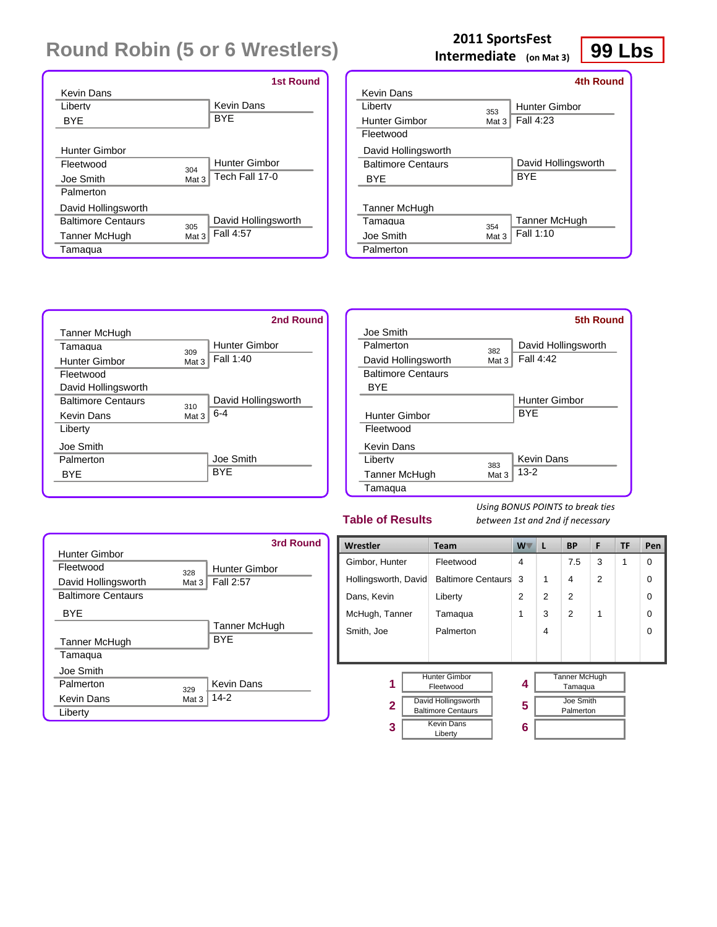|                           | <b>1st Round</b>            |
|---------------------------|-----------------------------|
| Kevin Dans                |                             |
| I iberty                  | Kevin Dans                  |
| BYE                       | <b>BYF</b>                  |
|                           |                             |
| Hunter Gimbor             |                             |
| Fleetwood                 | <b>Hunter Gimbor</b><br>304 |
| Joe Smith                 | Tech Fall 17-0<br>Mat 3     |
| Palmerton                 |                             |
| David Hollingsworth       |                             |
| <b>Baltimore Centaurs</b> | David Hollingsworth<br>305  |
| Tanner McHugh             | Fall 4:57<br>Mat 3          |
| Tamaqua                   |                             |

# **199 Lbs**<br> **Intermediate** (on Mat 3) **99 Lbs**

|                           |       | <b>4th Round</b>    |
|---------------------------|-------|---------------------|
| Kevin Dans                |       |                     |
| I iberty                  | 353   | Hunter Gimbor       |
| Hunter Gimbor             | Mat 3 | Fall 4:23           |
| Fleetwood                 |       |                     |
| David Hollingsworth       |       |                     |
| <b>Baltimore Centaurs</b> |       | David Hollingsworth |
| <b>BYF</b>                |       | <b>BYF</b>          |
|                           |       |                     |
| Tanner McHugh             |       |                     |
| Tamagua                   | 354   | Tanner McHugh       |
| Joe Smith                 | Mat 3 | Fall 1:10           |
| Palmerton                 |       |                     |

![](_page_31_Figure_5.jpeg)

|                           |       | <b>5th Round</b>     |
|---------------------------|-------|----------------------|
| Joe Smith                 |       |                      |
| Palmerton                 | 382   | David Hollingsworth  |
| David Hollingsworth       | Mat 3 | Fall 4:42            |
| <b>Baltimore Centaurs</b> |       |                      |
| BYF                       |       |                      |
|                           |       | <b>Hunter Gimbor</b> |
| Hunter Gimbor             |       | <b>BYF</b>           |
| Fleetwood                 |       |                      |
| <b>Kevin Dans</b>         |       |                      |
| Liberty                   | 383   | Kevin Dans           |
| Tanner McHugh             | Mat 3 | $13 - 2$             |
| Tamaqua                   |       |                      |

#### **Table of Results**

|                           |       | 3rd Round            |
|---------------------------|-------|----------------------|
| Hunter Gimbor             |       |                      |
| Fleetwood                 | 328   | <b>Hunter Gimbor</b> |
| David Hollingsworth       | Mat 3 | Fall 2:57            |
| <b>Baltimore Centaurs</b> |       |                      |
| <b>BYF</b>                |       |                      |
|                           |       | Tanner McHugh        |
| Tanner McHugh             |       | <b>BYF</b>           |
| Tamaqua                   |       |                      |
| Joe Smith                 |       |                      |
| Palmerton                 | 329   | Kevin Dans           |
| Kevin Dans                | Mat 3 | $14-2$               |
| Liberty                   |       |                      |

| Wrestler             | <b>Team</b>                                      | W | L              | <b>BP</b>                       | F              | TF | Pen      |
|----------------------|--------------------------------------------------|---|----------------|---------------------------------|----------------|----|----------|
| Gimbor, Hunter       | Fleetwood                                        |   |                | 7.5                             | 3              | 1  | $\Omega$ |
| Hollingsworth, David | <b>Baltimore Centaurs</b>                        | 3 | 1              | 4                               | $\overline{2}$ |    | 0        |
| Dans, Kevin          | Liberty                                          |   | $\overline{2}$ | $\overline{2}$                  |                |    | 0        |
| McHugh, Tanner       | Tamaqua                                          | 1 | 3              | $\overline{2}$                  | 1              |    | 0        |
| Smith, Joe           | Palmerton                                        |   | 4              |                                 |                |    | $\Omega$ |
|                      |                                                  |   |                |                                 |                |    |          |
|                      |                                                  |   |                |                                 |                |    |          |
| 1                    | <b>Hunter Gimbor</b><br>Fleetwood                | 4 |                | <b>Tanner McHugh</b><br>Tamaqua |                |    |          |
| 2                    | David Hollingsworth<br><b>Baltimore Centaurs</b> |   |                | Joe Smith<br>Palmerton          |                |    |          |
| 3                    | <b>Kevin Dans</b><br>Liberty                     | 6 |                |                                 |                |    |          |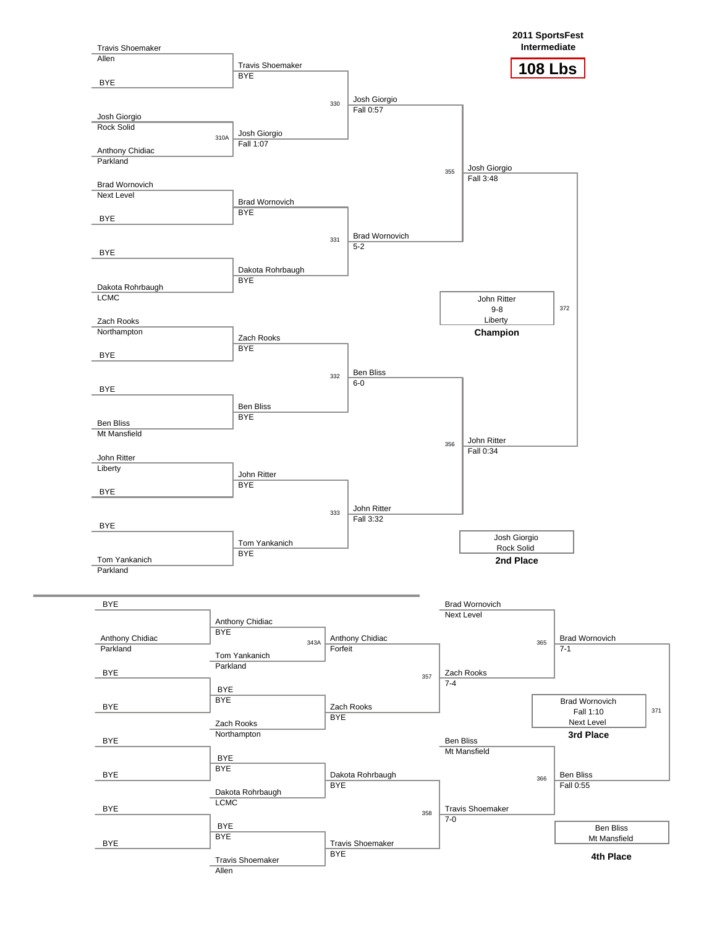![](_page_32_Figure_0.jpeg)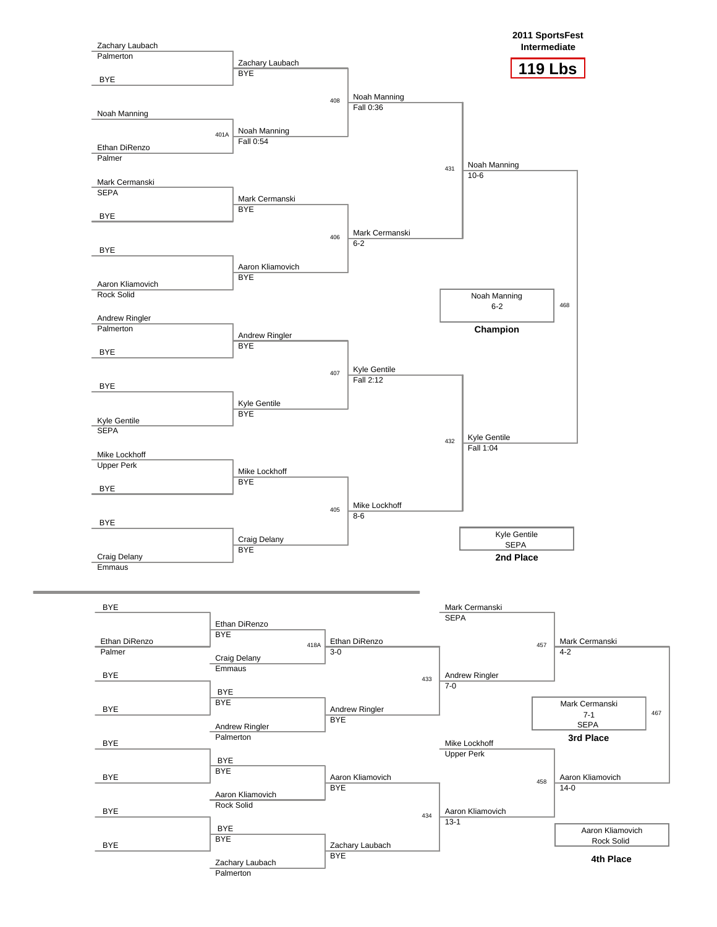![](_page_33_Figure_0.jpeg)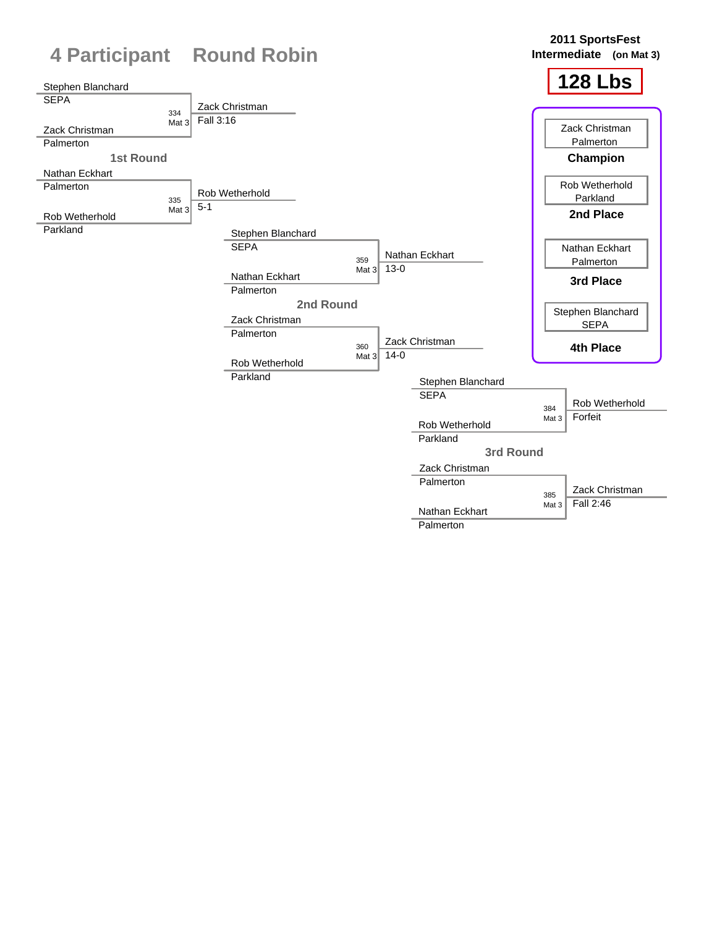![](_page_34_Figure_0.jpeg)

Palmerton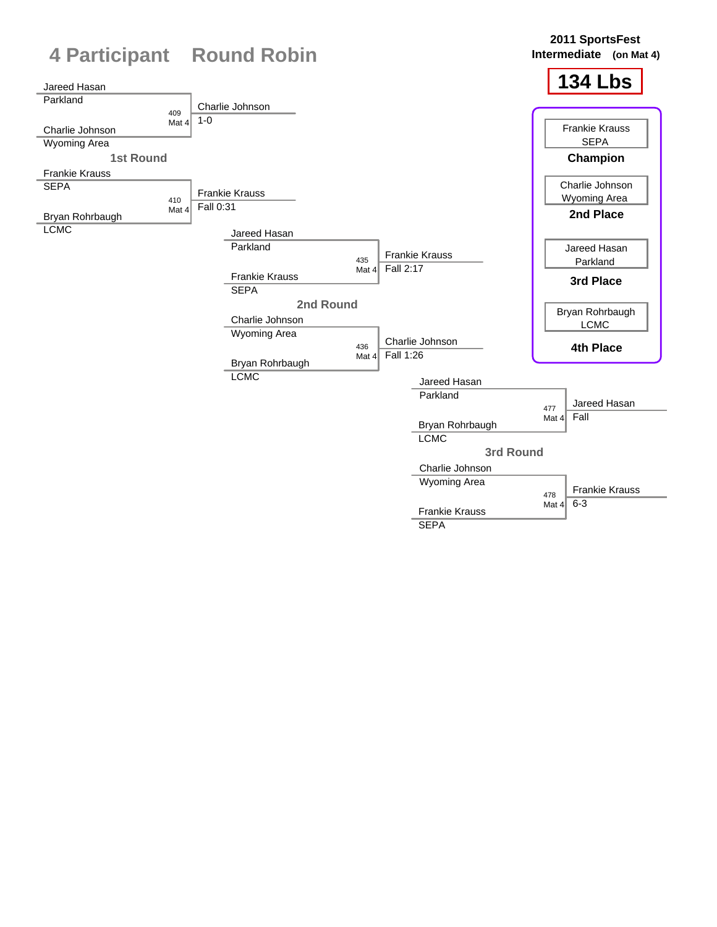![](_page_35_Figure_0.jpeg)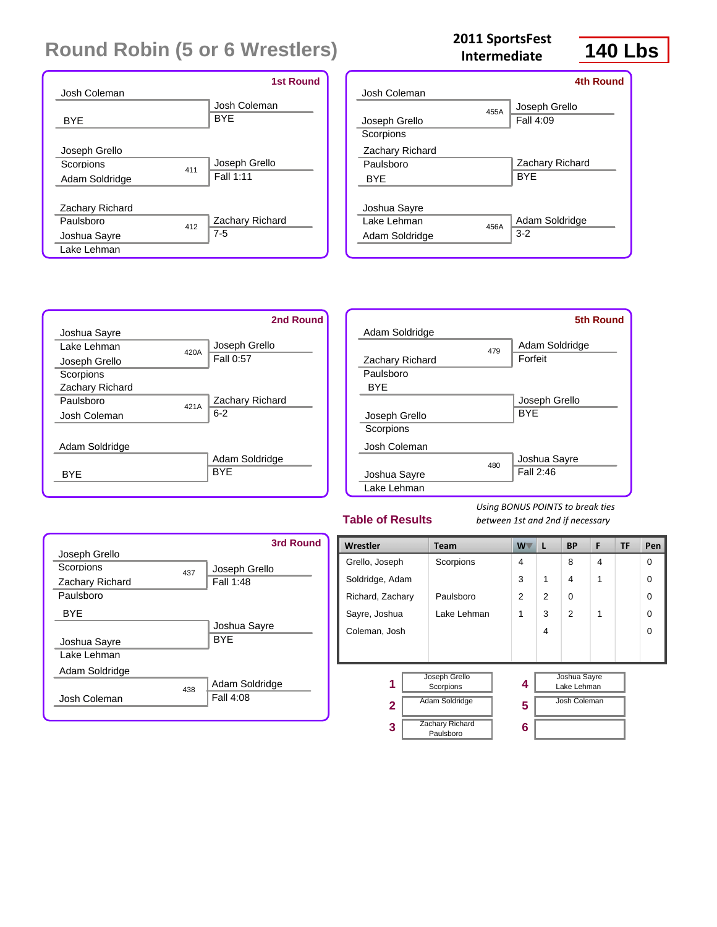| Josh Coleman                                        | <b>1st Round</b>           |
|-----------------------------------------------------|----------------------------|
| <b>BYE</b>                                          | Josh Coleman<br><b>BYE</b> |
| Joseph Grello<br>Scorpions<br>411<br>Adam Soldridge | Joseph Grello<br>Fall 1:11 |
| Zachary Richard<br>Paulsboro<br>412<br>Joshua Sayre | Zachary Richard<br>$7 - 5$ |
| Lake Lehman                                         |                            |

#### **140 Lbs <sup>2011</sup> SportsFest Intermediate**

![](_page_36_Picture_3.jpeg)

|                 |      | 4th Round       |
|-----------------|------|-----------------|
| Josh Coleman    |      |                 |
|                 | 455A | Joseph Grello   |
| Joseph Grello   |      | Fall 4:09       |
| Scorpions       |      |                 |
| Zachary Richard |      |                 |
| Paulsboro       |      | Zachary Richard |
| <b>BYF</b>      |      | <b>BYF</b>      |
|                 |      |                 |
| Joshua Sayre    |      |                 |
| Lake Lehman     | 456A | Adam Soldridge  |
| Adam Soldridge  |      | $3-2$           |
|                 |      |                 |

![](_page_36_Figure_5.jpeg)

![](_page_36_Figure_6.jpeg)

#### **Table of Results**

| Joseph Grello   |     | 3rd Round                   |
|-----------------|-----|-----------------------------|
| Scorpions       |     | Joseph Grello               |
| Zachary Richard | 437 | Fall 1:48                   |
| Paulsboro       |     |                             |
| <b>BYF</b>      |     |                             |
|                 |     | Joshua Sayre                |
| Joshua Sayre    |     | <b>BYF</b>                  |
| I ake I ehman   |     |                             |
| Adam Soldridge  |     |                             |
| Josh Coleman    | 438 | Adam Soldridge<br>Fall 4:08 |

| Wrestler          | <b>Team</b>                                  | W -            | L              | <b>BP</b>                                          | F | TF | Pen      |
|-------------------|----------------------------------------------|----------------|----------------|----------------------------------------------------|---|----|----------|
| Grello, Joseph    | Scorpions                                    | $\overline{4}$ |                | 8                                                  | 4 |    | $\Omega$ |
| Soldridge, Adam   |                                              | 3              | 1              | $\overline{4}$                                     | 1 |    | $\Omega$ |
| Richard, Zachary  | Paulsboro                                    | $\overline{2}$ | $\overline{2}$ | 0                                                  |   |    | $\Omega$ |
| Sayre, Joshua     | Lake Lehman                                  | 1              | 3              | $\overline{2}$                                     | 1 |    | $\Omega$ |
| Coleman, Josh     |                                              |                | 4              |                                                    |   |    | $\Omega$ |
|                   |                                              |                |                |                                                    |   |    |          |
| 1<br>$\mathbf{2}$ | Joseph Grello<br>Scorpions<br>Adam Soldridge | 4<br>5         |                | Joshua Sayre<br>Lake Lehman<br><b>Josh Coleman</b> |   |    |          |
| 3                 | <b>Zachary Richard</b><br>Paulsboro          | 6              |                |                                                    |   |    |          |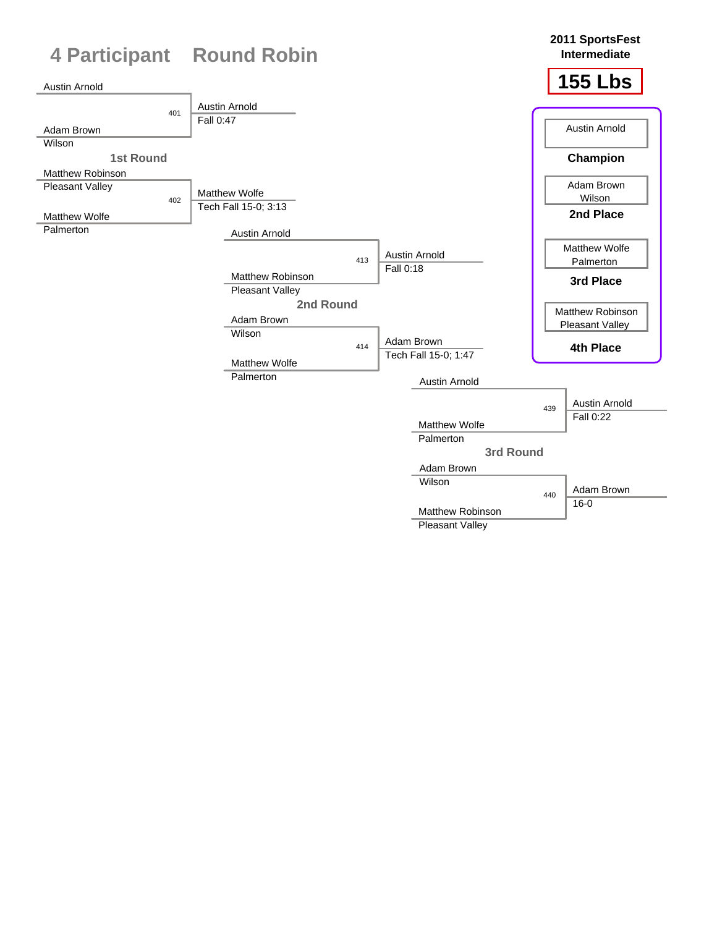![](_page_37_Figure_0.jpeg)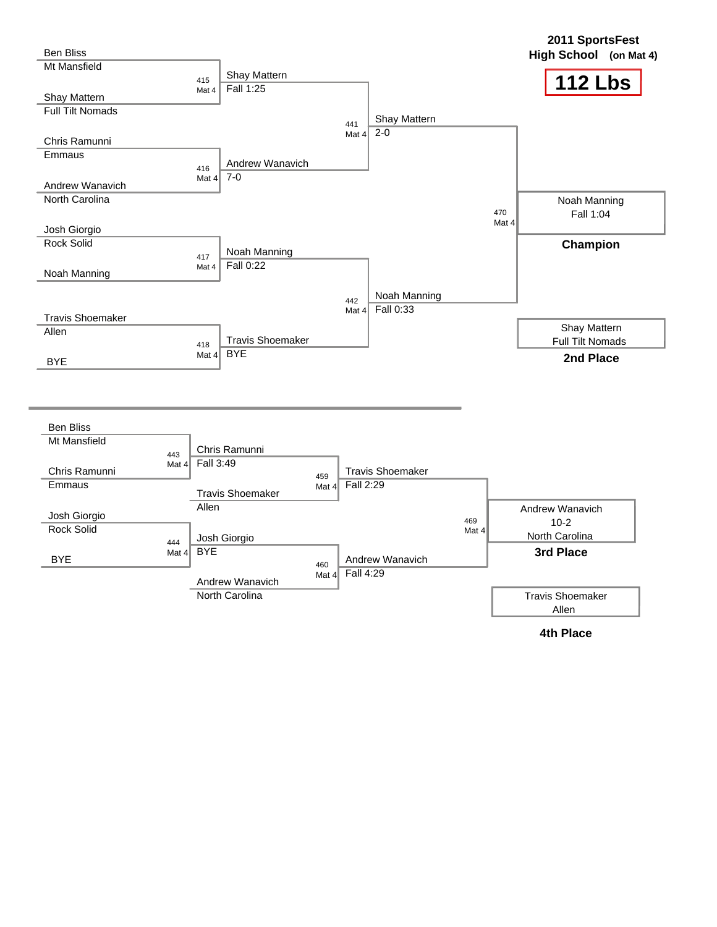| <b>Ben Bliss</b>                  |                       |                           |                        |           |                         |              | 2011 SportsFest<br>High School (on Mat 4) |
|-----------------------------------|-----------------------|---------------------------|------------------------|-----------|-------------------------|--------------|-------------------------------------------|
| Mt Mansfield                      | 415                   | Shay Mattern<br>Fall 1:25 |                        |           |                         |              | <b>112 Lbs</b>                            |
| Shay Mattern                      | Mat 4                 |                           |                        |           |                         |              |                                           |
| <b>Full Tilt Nomads</b>           |                       |                           |                        |           |                         |              |                                           |
|                                   |                       |                           |                        | 441       | Shay Mattern<br>$2 - 0$ |              |                                           |
| Chris Ramunni                     |                       |                           |                        | Mat $4$   |                         |              |                                           |
| Emmaus                            |                       | Andrew Wanavich           |                        |           |                         |              |                                           |
|                                   | 416                   | $7-0$                     |                        |           |                         |              |                                           |
| Andrew Wanavich                   | Mat $4$               |                           |                        |           |                         |              |                                           |
| North Carolina                    |                       |                           |                        |           |                         |              | Noah Manning                              |
|                                   |                       |                           |                        |           |                         | 470          | Fall 1:04                                 |
| Josh Giorgio                      |                       |                           |                        |           |                         | Mat 4        |                                           |
| <b>Rock Solid</b>                 |                       |                           |                        |           |                         |              | Champion                                  |
|                                   | 417                   | Noah Manning              |                        |           |                         |              |                                           |
| Noah Manning                      | Mat 4                 | Fall 0:22                 |                        |           |                         |              |                                           |
|                                   |                       |                           |                        |           |                         |              |                                           |
|                                   |                       |                           |                        | 442       | Noah Manning            |              |                                           |
| <b>Travis Shoemaker</b>           |                       |                           |                        | Mat $4$   | Fall 0:33               |              |                                           |
| Allen                             |                       |                           |                        |           |                         |              | Shay Mattern                              |
|                                   | 418                   | <b>Travis Shoemaker</b>   |                        |           |                         |              | Full Tilt Nomads                          |
| <b>BYE</b>                        | Mat $4$               | <b>BYE</b>                |                        |           |                         |              | 2nd Place                                 |
|                                   |                       |                           |                        |           |                         |              |                                           |
|                                   |                       |                           |                        |           |                         |              |                                           |
| <b>Ben Bliss</b>                  |                       |                           |                        |           |                         |              |                                           |
| Mt Mansfield                      |                       |                           |                        |           |                         |              |                                           |
|                                   | 443                   | Chris Ramunni             |                        |           |                         |              |                                           |
| Chris Ramunni                     | Mat $4$               | Fall 3:49                 |                        |           | <b>Travis Shoemaker</b> |              |                                           |
| Emmaus                            |                       |                           | 459<br>Mat $4$         | Fall 2:29 |                         |              |                                           |
|                                   |                       | <b>Travis Shoemaker</b>   |                        |           |                         |              |                                           |
|                                   | Allen                 |                           |                        |           |                         |              | Andrew Wanavich                           |
| Josh Giorgio<br><b>Rock Solid</b> |                       |                           |                        |           |                         | 469<br>Mat 4 | $10 - 2$                                  |
|                                   | 444                   | Josh Giorgio              |                        |           |                         |              | North Carolina                            |
|                                   | <b>BYE</b><br>Mat $4$ |                           |                        |           | Andrew Wanavich         |              | 3rd Place                                 |
| <b>BYE</b>                        |                       |                           | 460<br>Mat 4 Fall 4:29 |           |                         |              |                                           |
|                                   |                       | Andrew Wanavich           |                        |           |                         |              |                                           |
|                                   |                       | North Carolina            |                        |           |                         |              | <b>Travis Shoemaker</b><br>Allen          |

**4th Place**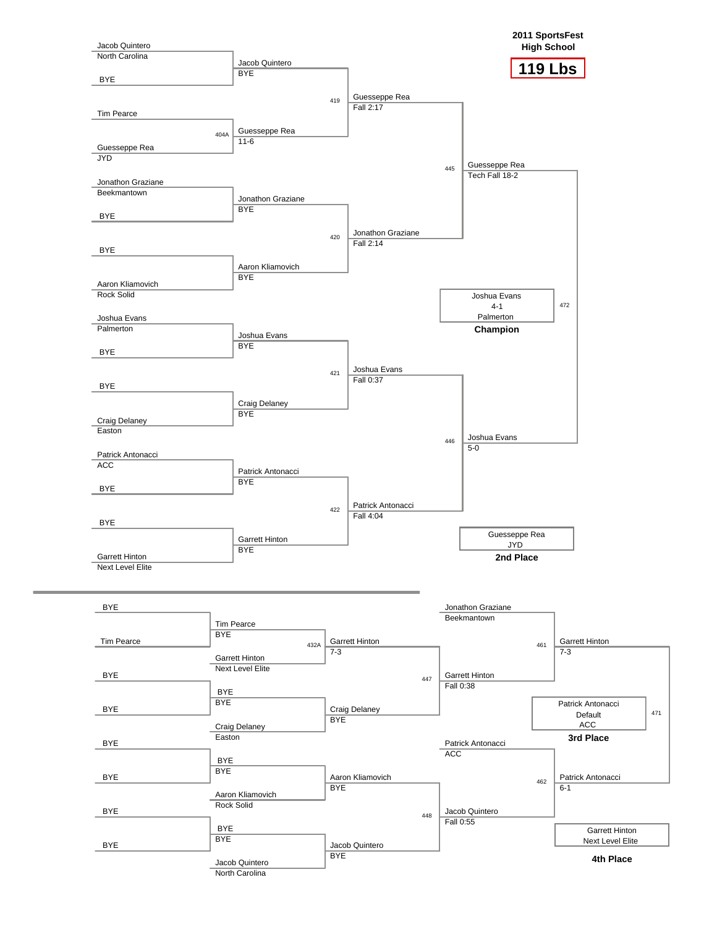![](_page_39_Figure_0.jpeg)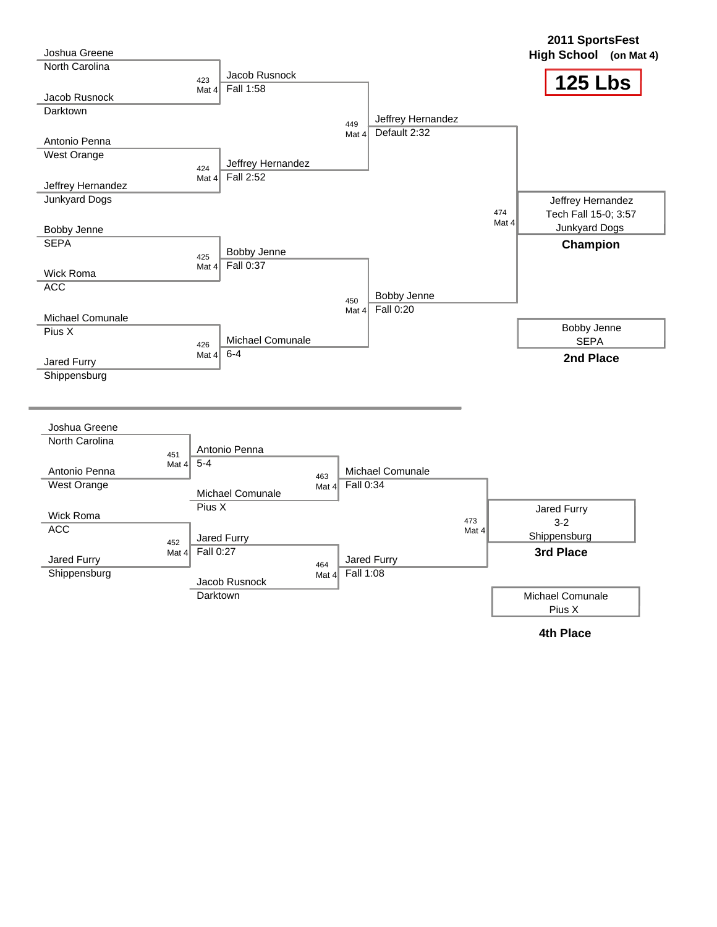| Joshua Greene                             |                                  |                   |                      |                                   |              | 2011 SportsFest<br>High School (on Mat 4) |
|-------------------------------------------|----------------------------------|-------------------|----------------------|-----------------------------------|--------------|-------------------------------------------|
| North Carolina                            | 423                              | Jacob Rusnock     |                      |                                   |              | <b>125 Lbs</b>                            |
| Jacob Rusnock                             | Mat $4$                          | Fall 1:58         |                      |                                   |              |                                           |
| <b>Darktown</b>                           |                                  |                   |                      |                                   |              |                                           |
|                                           |                                  |                   | 449<br>Mat 4         | Jeffrey Hernandez<br>Default 2:32 |              |                                           |
| Antonio Penna                             |                                  |                   |                      |                                   |              |                                           |
| West Orange                               | 424                              | Jeffrey Hernandez |                      |                                   |              |                                           |
|                                           | Mat $4$                          | Fall 2:52         |                      |                                   |              |                                           |
| Jeffrey Hernandez<br><b>Junkyard Dogs</b> |                                  |                   |                      |                                   |              |                                           |
|                                           |                                  |                   |                      |                                   | 474          | Jeffrey Hernandez<br>Tech Fall 15-0; 3:57 |
| Bobby Jenne                               |                                  |                   |                      |                                   | Mat 4        | Junkyard Dogs                             |
| <b>SEPA</b>                               |                                  |                   |                      |                                   |              | Champion                                  |
|                                           | 425                              | Bobby Jenne       |                      |                                   |              |                                           |
| Wick Roma                                 | Mat $4$                          | Fall 0:37         |                      |                                   |              |                                           |
| <b>ACC</b>                                |                                  |                   |                      |                                   |              |                                           |
|                                           |                                  |                   | 450<br>Mat $4$       | <b>Bobby Jenne</b><br>Fall 0:20   |              |                                           |
| Michael Comunale                          |                                  |                   |                      |                                   |              |                                           |
| Pius X                                    |                                  | Michael Comunale  |                      |                                   |              | Bobby Jenne<br><b>SEPA</b>                |
|                                           | 426                              | $6 - 4$           |                      |                                   |              |                                           |
|                                           |                                  |                   |                      |                                   |              |                                           |
| Jared Furry                               | Mat $4$                          |                   |                      |                                   |              | 2nd Place                                 |
| Shippensburg                              |                                  |                   |                      |                                   |              |                                           |
| Joshua Greene                             |                                  |                   |                      |                                   |              |                                           |
| North Carolina                            |                                  | Antonio Penna     |                      |                                   |              |                                           |
|                                           | 451<br>$5 - 4$<br>Mat $4\dagger$ |                   |                      |                                   |              |                                           |
| Antonio Penna                             |                                  |                   | 463                  | <b>Michael Comunale</b>           |              |                                           |
| West Orange                               |                                  | Michael Comunale  | Fall 0:34<br>Mat $4$ |                                   |              |                                           |
| Wick Roma                                 | Pius X                           |                   |                      |                                   |              | Jared Furry                               |
| <b>ACC</b>                                |                                  |                   |                      |                                   | 473<br>Mat 4 | $3-2$                                     |
|                                           | 452                              | Jared Furry       |                      |                                   |              | Shippensburg                              |
| Jared Furry                               | Fall 0:27<br>Mat $4$             |                   | 464                  | Jared Furry                       |              | 3rd Place                                 |
| Shippensburg                              |                                  | Jacob Rusnock     | Fall 1:08<br>Mat $4$ |                                   |              |                                           |

![](_page_40_Figure_1.jpeg)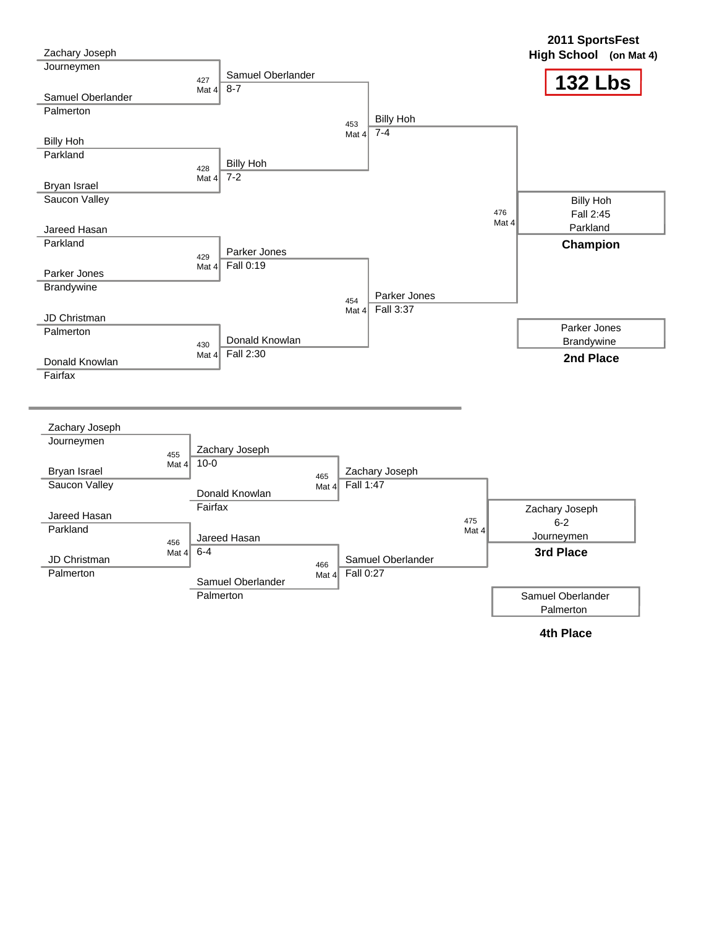| Zachary Joseph           |         |                          |         |                |                   |              | 2011 SportsFest<br>High School (on Mat 4) |
|--------------------------|---------|--------------------------|---------|----------------|-------------------|--------------|-------------------------------------------|
| Journeymen               |         | Samuel Oberlander<br>427 |         |                |                   |              | <b>132 Lbs</b>                            |
| Samuel Oberlander        |         | $8 - 7$<br>Mat $4$       |         |                |                   |              |                                           |
| Palmerton                |         |                          |         |                |                   |              |                                           |
|                          |         |                          |         | 453            | <b>Billy Hoh</b>  |              |                                           |
| <b>Billy Hoh</b>         |         |                          |         | Mat 4          | $7 - 4$           |              |                                           |
| Parkland                 |         |                          |         |                |                   |              |                                           |
|                          |         | <b>Billy Hoh</b><br>428  |         |                |                   |              |                                           |
| Bryan Israel             |         | $7 - 2$<br>Mat $41$      |         |                |                   |              |                                           |
| Saucon Valley            |         |                          |         |                |                   |              | <b>Billy Hoh</b>                          |
|                          |         |                          |         |                |                   | 476          | Fall 2:45                                 |
|                          |         |                          |         |                |                   | Mat 4        | Parkland                                  |
| Jareed Hasan<br>Parkland |         |                          |         |                |                   |              |                                           |
|                          |         | Parker Jones<br>429      |         |                |                   |              | Champion                                  |
|                          |         | Fall 0:19<br>Mat $4$     |         |                |                   |              |                                           |
| Parker Jones             |         |                          |         |                |                   |              |                                           |
| Brandywine               |         |                          |         |                | Parker Jones      |              |                                           |
|                          |         |                          |         | 454<br>Mat $4$ | Fall 3:37         |              |                                           |
| JD Christman             |         |                          |         |                |                   |              |                                           |
| Palmerton                |         | Donald Knowlan           |         |                |                   |              | Parker Jones                              |
|                          |         | 430<br>Fall 2:30         |         |                |                   |              | Brandywine                                |
| Donald Knowlan           |         | Mat $4$                  |         |                |                   |              | 2nd Place                                 |
| Fairfax                  |         |                          |         |                |                   |              |                                           |
|                          |         |                          |         |                |                   |              |                                           |
| Zachary Joseph           |         |                          |         |                |                   |              |                                           |
| Journeymen               |         | Zachary Joseph           |         |                |                   |              |                                           |
|                          | 455     | $10 - 0$                 |         |                |                   |              |                                           |
| Bryan Israel             | Mat $4$ |                          | 465     |                | Zachary Joseph    |              |                                           |
| Saucon Valley            |         |                          | Mat $4$ | Fall 1:47      |                   |              |                                           |
|                          |         | Donald Knowlan           |         |                |                   |              |                                           |
| Jareed Hasan             |         | Fairfax                  |         |                |                   |              | Zachary Joseph                            |
| Parkland                 |         |                          |         |                |                   | 475<br>Mat 4 | $6 - 2$                                   |
|                          | 456     | Jareed Hasan             |         |                |                   |              | Journeymen                                |
| JD Christman             | Mat $4$ | $6 - 4$                  | 466     |                | Samuel Oberlander |              | 3rd Place                                 |
| Palmerton                |         | Samuel Oberlander        | Mat $4$ | Fall 0:27      |                   |              |                                           |
|                          |         | Palmerton                |         |                |                   |              | Samuel Oberlander                         |
|                          |         |                          |         |                |                   |              | Palmerton                                 |
|                          |         |                          |         |                |                   |              | <b>4th Place</b>                          |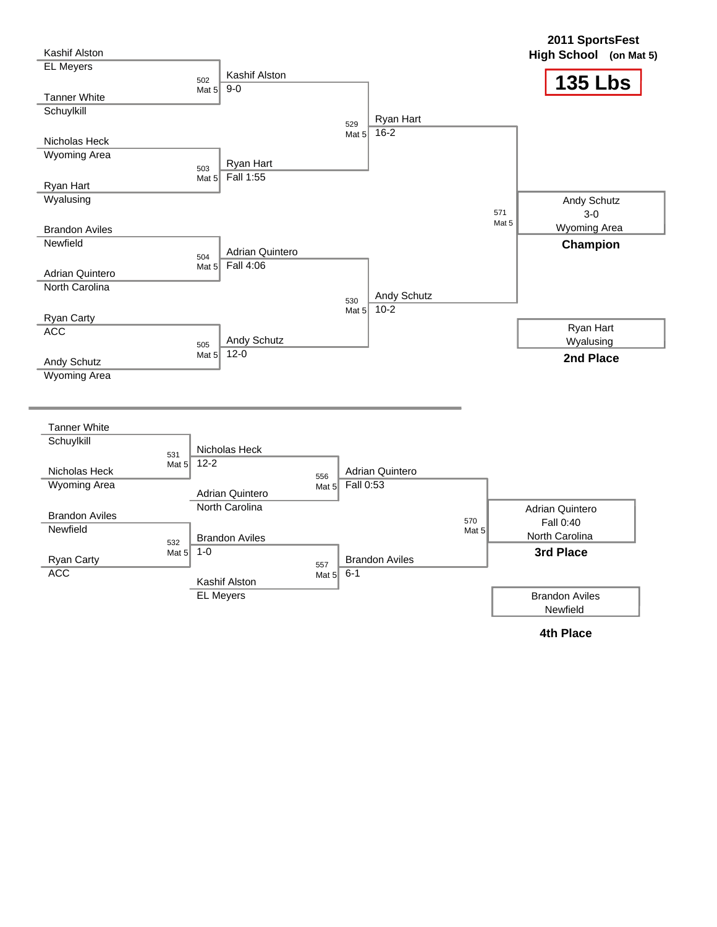![](_page_42_Figure_0.jpeg)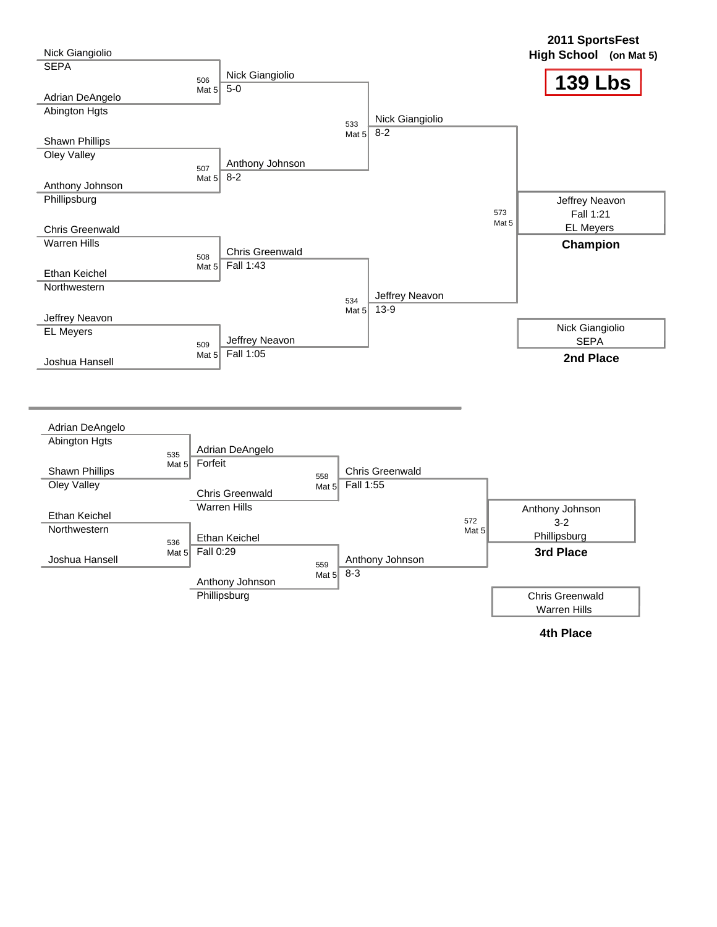![](_page_43_Figure_0.jpeg)

![](_page_43_Figure_1.jpeg)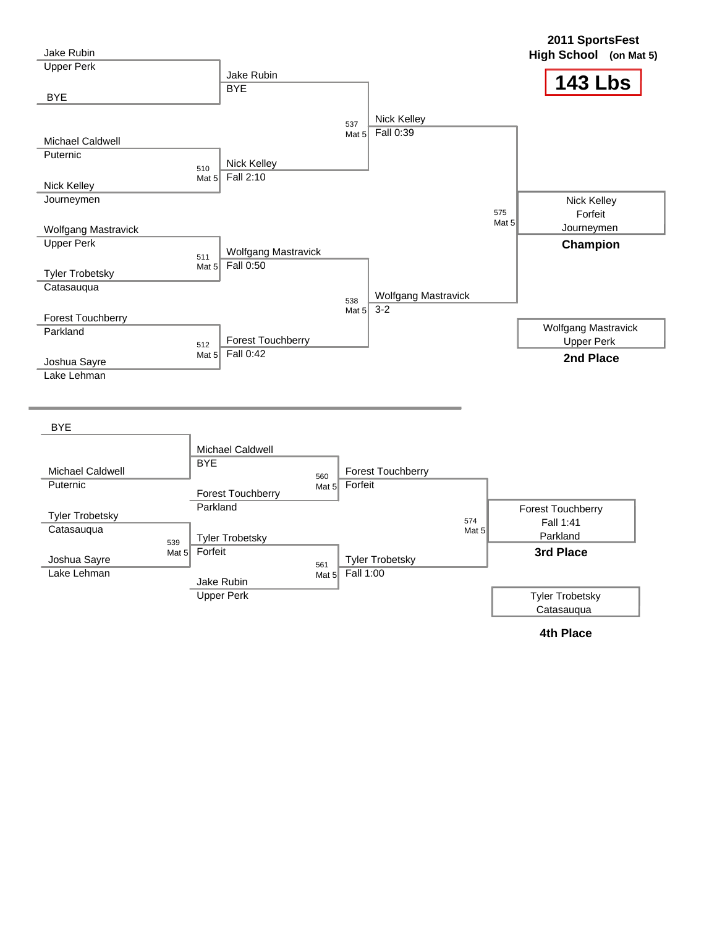| <b>Jake Rubin</b>                               |                                                                                       | 2011 SportsFest<br>High School (on Mat 5)                    |
|-------------------------------------------------|---------------------------------------------------------------------------------------|--------------------------------------------------------------|
| <b>Upper Perk</b>                               | Jake Rubin<br><b>BYE</b>                                                              | <b>143 Lbs</b>                                               |
| <b>BYE</b>                                      |                                                                                       |                                                              |
| Michael Caldwell                                | Nick Kelley<br>537<br>Fall 0:39<br>Mat $5$                                            |                                                              |
| Puternic<br>Nick Kelley                         | Nick Kelley<br>510<br>Fall 2:10<br>Mat $5$                                            |                                                              |
| Journeymen                                      |                                                                                       | Nick Kelley<br>575<br>Forfeit<br>Mat <sub>5</sub>            |
| <b>Wolfgang Mastravick</b><br><b>Upper Perk</b> | <b>Wolfgang Mastravick</b><br>511                                                     | Journeymen<br>Champion                                       |
| <b>Tyler Trobetsky</b><br>Catasauqua            | Fall 0:50<br>Mat $5$                                                                  |                                                              |
| Forest Touchberry                               | Wolfgang Mastravick<br>538<br>$3 - 2$<br>Mat $5$                                      |                                                              |
| Parkland                                        | Forest Touchberry<br>512<br>Fall 0:42<br>Mat $5$                                      | <b>Wolfgang Mastravick</b><br><b>Upper Perk</b><br>2nd Place |
| Joshua Sayre<br>Lake Lehman                     |                                                                                       |                                                              |
| <b>BYE</b>                                      |                                                                                       |                                                              |
|                                                 | Michael Caldwell<br><b>BYE</b>                                                        |                                                              |
| <b>Michael Caldwell</b><br>Puternic             | <b>Forest Touchberry</b><br>560<br>Forfeit                                            |                                                              |
|                                                 | Mat $51$<br><b>Forest Touchberry</b>                                                  |                                                              |
| <b>Tyler Trobetsky</b><br>Catasauqua            | Parkland                                                                              | Forest Touchberry<br>574<br>Fall 1:41<br>Mat 5               |
| Joshua Sayre                                    | <b>Tyler Trobetsky</b><br>539<br>Forfeit<br>Mat $52$<br><b>Tyler Trobetsky</b><br>561 | Parkland<br>3rd Place                                        |
| Lake Lehman                                     | Fall 1:00<br>Mat $52$<br>Jake Rubin                                                   |                                                              |
|                                                 | <b>Upper Perk</b>                                                                     | <b>Tyler Trobetsky</b>                                       |

**4th Place**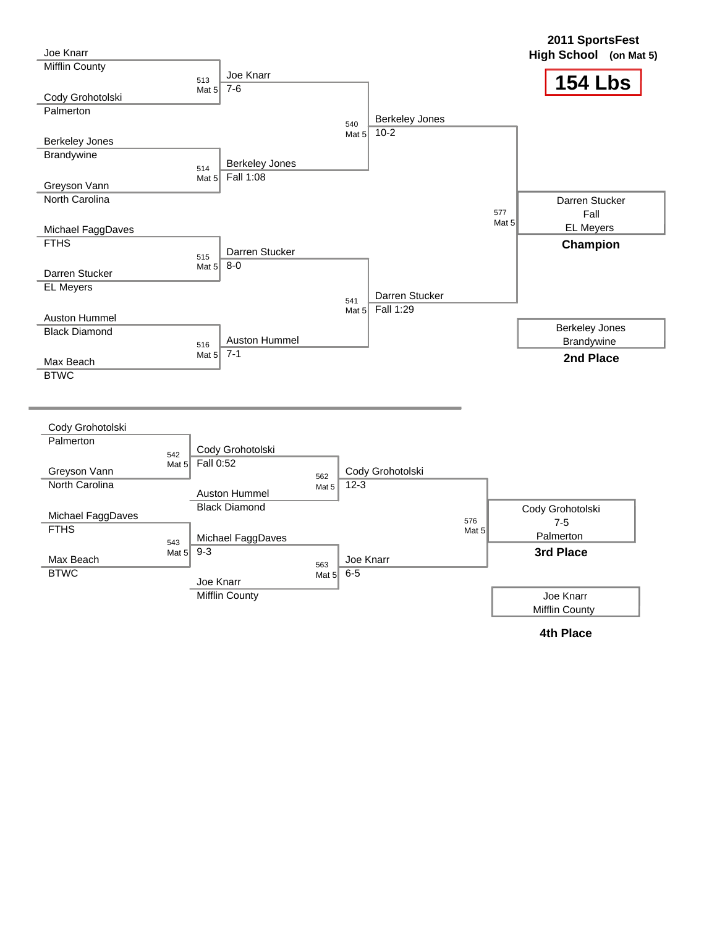![](_page_45_Figure_0.jpeg)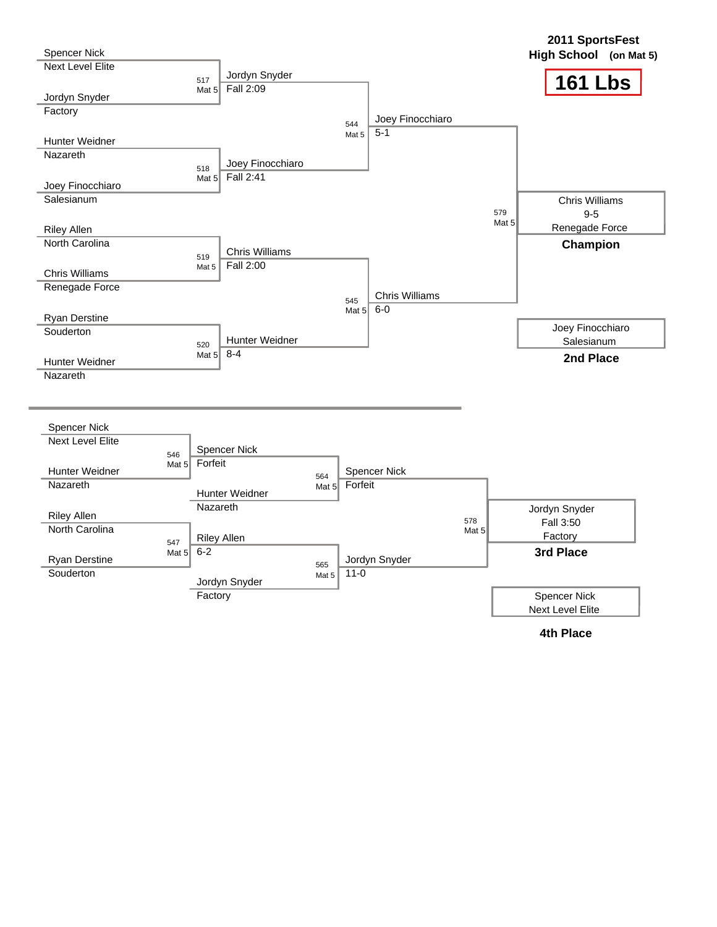| Spencer Nick                      |                                |                            |                        |                       |                | 2011 SportsFest<br>High School (on Mat 5) |
|-----------------------------------|--------------------------------|----------------------------|------------------------|-----------------------|----------------|-------------------------------------------|
| <b>Next Level Elite</b>           | 517                            | Jordyn Snyder<br>Fall 2:09 |                        |                       |                | <b>161 Lbs</b>                            |
| Jordyn Snyder                     | Mat $5$                        |                            |                        |                       |                |                                           |
| Factory                           |                                |                            |                        | Joey Finocchiaro      |                |                                           |
|                                   |                                |                            | 544                    | $5 - 1$               |                |                                           |
| Hunter Weidner                    |                                |                            | Mat 5                  |                       |                |                                           |
| Nazareth                          |                                | Joey Finocchiaro           |                        |                       |                |                                           |
|                                   | 518                            | Fall 2:41                  |                        |                       |                |                                           |
| Joey Finocchiaro                  | Mat $5$                        |                            |                        |                       |                |                                           |
| Salesianum                        |                                |                            |                        |                       |                | <b>Chris Williams</b>                     |
|                                   |                                |                            |                        |                       | 579            | $9 - 5$                                   |
| <b>Riley Allen</b>                |                                |                            |                        |                       | Mat 5          | Renegade Force                            |
| <b>North Carolina</b>             |                                |                            |                        |                       |                | Champion                                  |
|                                   | 519                            | <b>Chris Williams</b>      |                        |                       |                |                                           |
| <b>Chris Williams</b>             | Mat 5                          | Fall 2:00                  |                        |                       |                |                                           |
| Renegade Force                    |                                |                            |                        |                       |                |                                           |
|                                   |                                |                            | 545                    | <b>Chris Williams</b> |                |                                           |
| <b>Ryan Derstine</b>              |                                |                            | Mat 5                  | $6-0$                 |                |                                           |
| Souderton                         |                                |                            |                        |                       |                | Joey Finocchiaro                          |
|                                   | 520                            | Hunter Weidner             |                        |                       |                | Salesianum                                |
|                                   |                                |                            |                        |                       |                |                                           |
|                                   | Mat $5\overline{\smash{)}8-4}$ |                            |                        |                       |                | 2nd Place                                 |
| <b>Hunter Weidner</b><br>Nazareth |                                |                            |                        |                       |                |                                           |
| <b>Spencer Nick</b>               |                                |                            |                        |                       |                |                                           |
| <b>Next Level Elite</b>           |                                | <b>Spencer Nick</b>        |                        |                       |                |                                           |
|                                   | 546<br>Forfeit<br>Mat $52$     |                            |                        |                       |                |                                           |
| Hunter Weidner                    |                                |                            | 564                    | Spencer Nick          |                |                                           |
| Nazareth                          |                                |                            | Forfeit<br>Mat $5$     |                       |                |                                           |
| <b>Riley Allen</b>                |                                | Hunter Weidner<br>Nazareth |                        |                       |                | Jordyn Snyder                             |
| <b>North Carolina</b>             |                                |                            |                        |                       | 578<br>Mat $5$ | Fall 3:50                                 |
|                                   | 547                            | <b>Riley Allen</b>         |                        |                       |                | Factory                                   |
| Ryan Derstine                     | $6 - 2$<br>Mat $52$            |                            |                        | Jordyn Snyder         |                | 3rd Place                                 |
| Souderton                         |                                |                            | 565<br>$11-0$<br>Mat 5 |                       |                |                                           |
|                                   |                                | Jordyn Snyder              |                        |                       |                |                                           |
|                                   | Factory                        |                            |                        |                       |                | <b>Spencer Nick</b><br>Next Level Elite   |

**4th Place**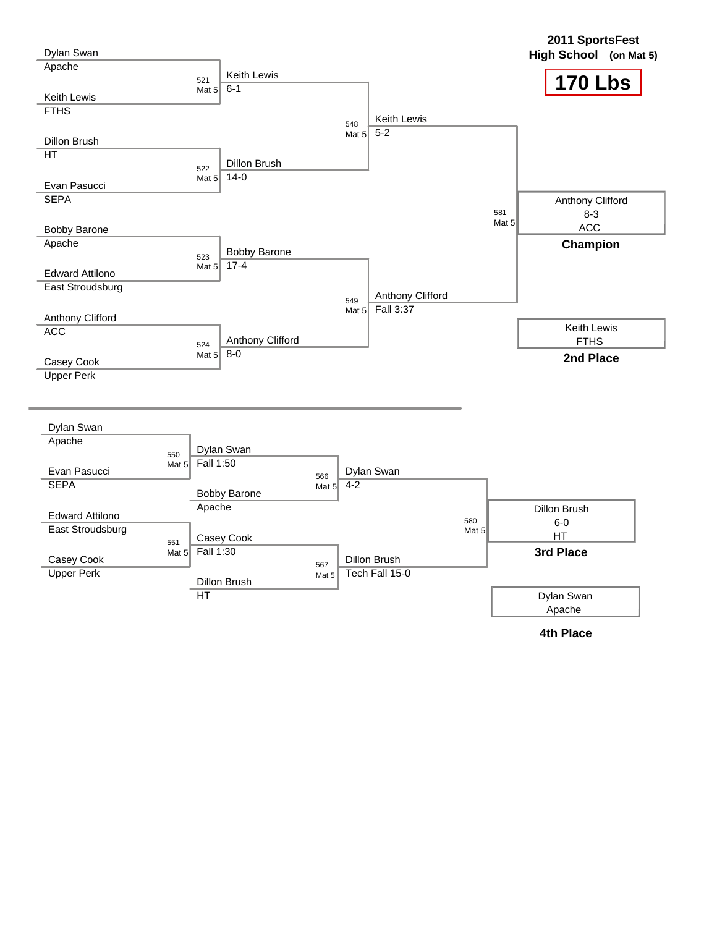![](_page_47_Figure_0.jpeg)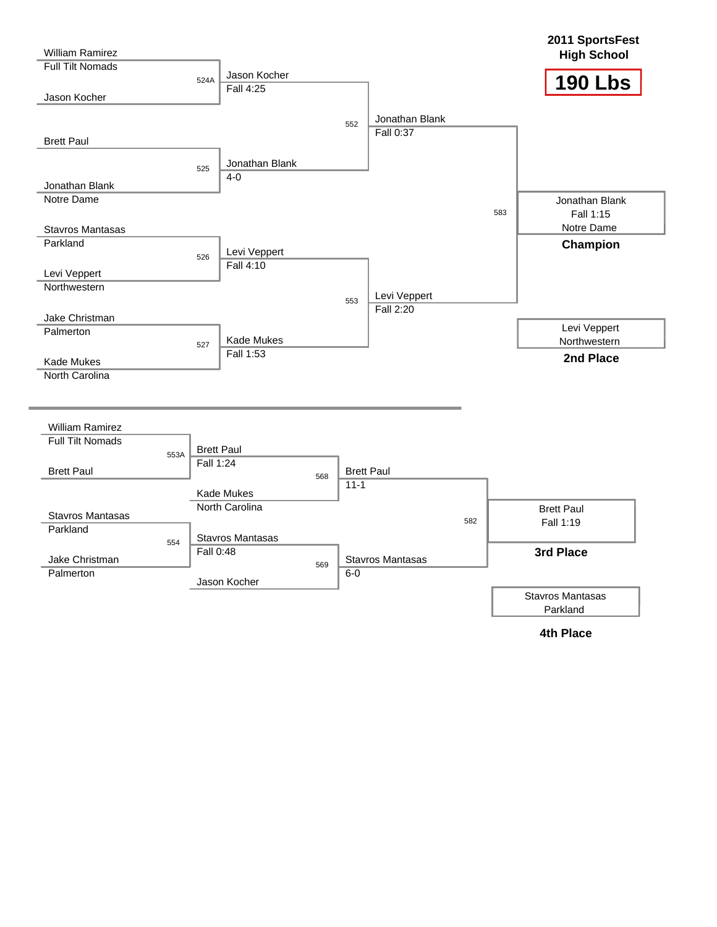![](_page_48_Figure_0.jpeg)